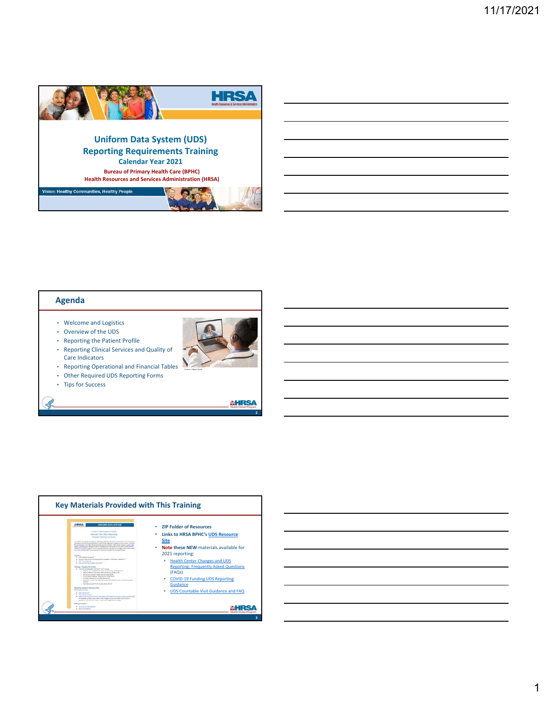

### **Agenda**

- Welcome and Logistics
- Overview of the UDS
- Reporting the Patient Profile
- Reporting Clinical Services and Quality of Care Indicators
- Reporting Operational and Financial Tables
- Other Required UDS Reporting Forms
- Tips for Success

Ŀ

**AHRSA** 

**2**

Source: Adobe Stock

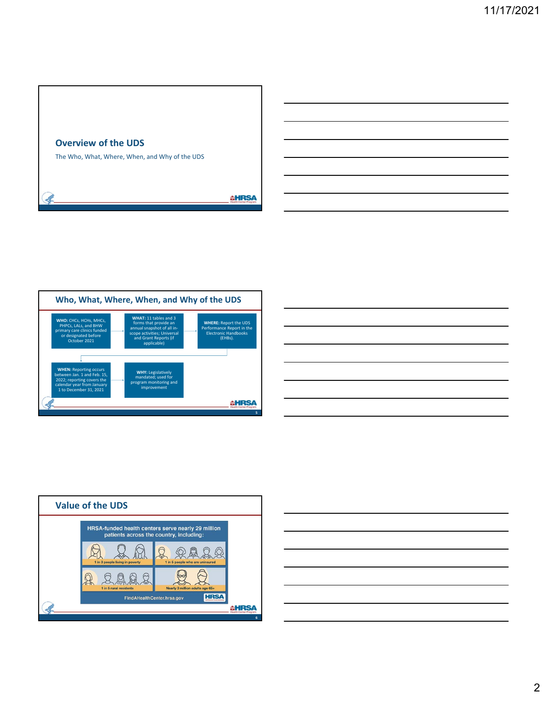







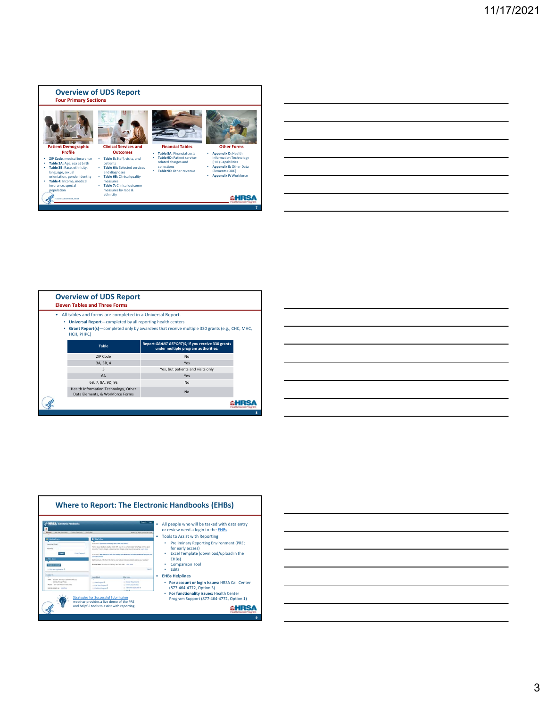

|        | <b>Overview of UDS Report</b><br><b>Eleven Tables and Three Forms</b>                                                                   |                                                                                              |   |
|--------|-----------------------------------------------------------------------------------------------------------------------------------------|----------------------------------------------------------------------------------------------|---|
| ۰<br>٠ | All tables and forms are completed in a Universal Report.<br>• Universal Report-completed by all reporting health centers<br>HCH, PHPC) | Grant Report(s)—completed only by awardees that receive multiple 330 grants (e.g., CHC, MHC, |   |
|        | <b>Table</b>                                                                                                                            | Report GRANT REPORT(S) if you receive 330 grants<br>under multiple program authorities:      |   |
|        | ZIP Code                                                                                                                                | No                                                                                           |   |
|        | 3A, 3B, 4                                                                                                                               | Yes                                                                                          |   |
|        | 5                                                                                                                                       | Yes, but patients and visits only                                                            |   |
|        | <b>6A</b>                                                                                                                               | Yes                                                                                          |   |
|        | 6B, 7, 8A, 9D, 9E                                                                                                                       | No                                                                                           |   |
|        | Health Information Technology, Other<br>Data Elements, & Workforce Forms                                                                | N <sub>0</sub>                                                                               |   |
|        |                                                                                                                                         |                                                                                              |   |
|        |                                                                                                                                         |                                                                                              | 8 |

| <u> 1989 - Johann Stoff, deutscher Stoff, der Stoff, der Stoff, der Stoff, der Stoff, der Stoff, der Stoff, der S</u>  |  |  |
|------------------------------------------------------------------------------------------------------------------------|--|--|
| <u> 1989 - Andrea Stadt Britain, amerikansk politik (* 1958)</u>                                                       |  |  |
|                                                                                                                        |  |  |
| <u> 1989 - Andrea Santa Alemania, amerikana amerikana amerikana amerikana amerikana amerikana amerikana amerikan</u>   |  |  |
| <u> 1989 - Johann Barn, mars ann an t-Amhain ann an t-Amhain ann an t-Amhain ann an t-Amhain ann an t-Amhain ann a</u> |  |  |
| <u> 1989 - Johann Stoff, amerikansk politiker (d. 1989)</u>                                                            |  |  |
| <u> 1989 - Johann Stein, marwolaethau a bhann an t-Amhair an t-Amhair an t-Amhair an t-Amhair an t-Amhair an t-A</u>   |  |  |
|                                                                                                                        |  |  |



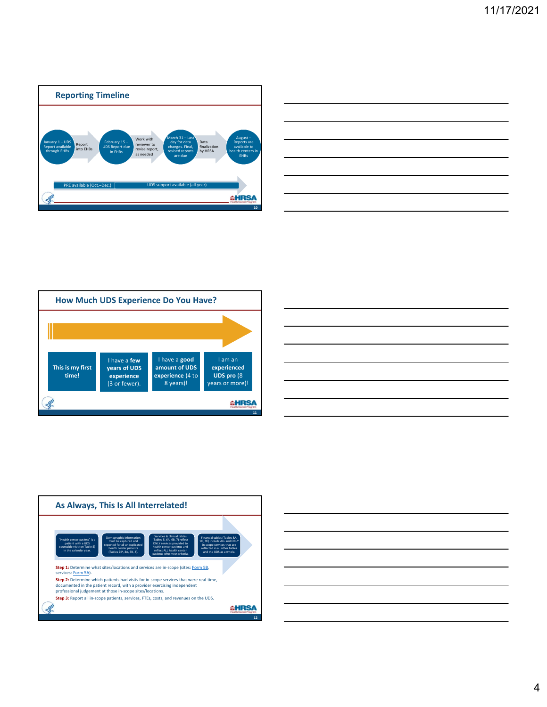

| <u> 1989 - Johann Stoff, deutscher Stoffen und der Stoffen und der Stoffen und der Stoffen und der Stoffen und der</u> |                                                             |  |
|------------------------------------------------------------------------------------------------------------------------|-------------------------------------------------------------|--|
|                                                                                                                        |                                                             |  |
|                                                                                                                        |                                                             |  |
| <u> 1989 - Andrea Andrew Maria (h. 1989).</u>                                                                          |                                                             |  |
|                                                                                                                        |                                                             |  |
|                                                                                                                        | <u> 1989 - Johann Stoff, amerikansk politiker (d. 1989)</u> |  |
|                                                                                                                        |                                                             |  |
|                                                                                                                        |                                                             |  |







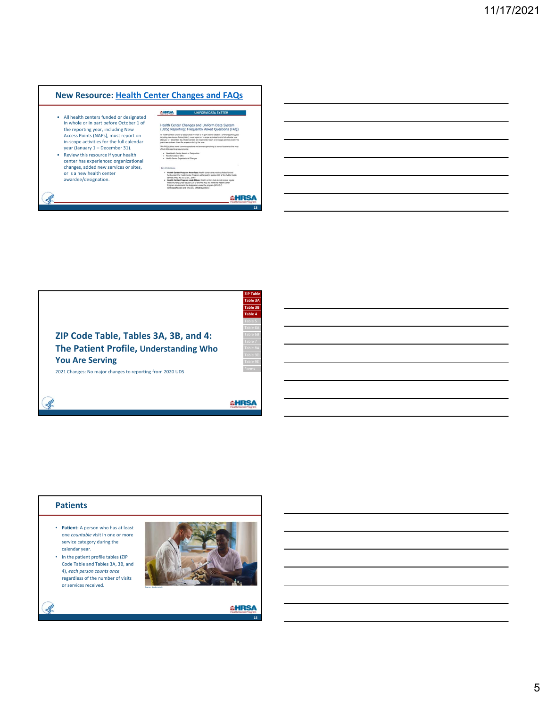### **New Resource: Health Center Changes and FAQs**

**CHRSA** 

- All health centers funded or designated in whole or in part before October 1 of the reporting year, including New Access Points (NAPs), must report on in‐scope activities for the full calendar year (January 1 – December 31).
- Review this resource if your health center has experienced organizational changes, added new services or sites, or is a new health center awardee/designation.

|   | Health Center Changes and Uniform Data System<br>(UDS) Reporting: Frequently Asked Questions (FAQ)                                                                                                                                                                                                                                                                                                                                                                                                          |
|---|-------------------------------------------------------------------------------------------------------------------------------------------------------------------------------------------------------------------------------------------------------------------------------------------------------------------------------------------------------------------------------------------------------------------------------------------------------------------------------------------------------------|
|   | All health centers funded or designated in whole or in part before October 1 of the reporting year,<br>including New Access Points (NAPs), must report on in-scope activities for the full calendar year<br>(January 1 - December 31). Health centers are required to report on in-scope activities even if no<br>grants were drawn down for programs during the year.                                                                                                                                      |
|   | This FAQ outlines some common questions and answers pertaining to several scenarios that may<br>affect UDS reporting requirements:                                                                                                                                                                                                                                                                                                                                                                          |
| ٠ | . New Health Center Award or Designation<br>New Services or Sites<br>. Health Center Organizational Changes                                                                                                                                                                                                                                                                                                                                                                                                 |
|   | Key Definitions                                                                                                                                                                                                                                                                                                                                                                                                                                                                                             |
|   | . Health Center Program Awardees: Health centers that receives federal award<br>funds under the Health Center Program authorized by section 330 of the Public Health<br>Service (PHS) Act (42 U.S.C. 254b)<br>. Health Center Program Look-Alikes: Health centers that do not receive requiar<br>federal funding under section 330 of the PHS Act, but meet the Health Center<br>Program requirements for designation under the program (42 U.S.C.<br>1395s(aa)(4)(A)(ii) and 42 U.S.C. 1396s(f)(2)(8)(iii) |

### **AHRSA**

**13**



### **Patients**

- **Patient:** A person who has at least one *countable* visit in one or more service category during the calendar year.
- In the patient profile tables (ZIP Code Table and Tables 3A, 3B, and 4), *each person counts once*  regardless of the number of visits or services received.



### **AHRSA**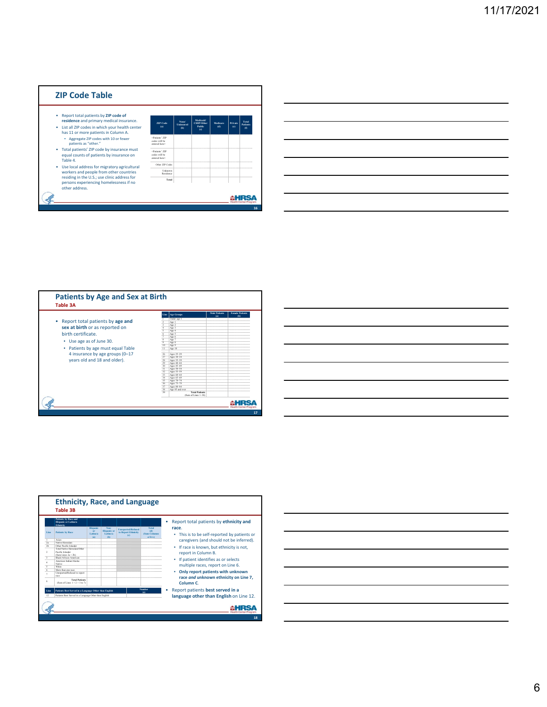### **ZIP Code Table**

- 
- 
- 
- Report total patients by  $2IP \cosh \theta$  from the patient of residence and prims and prims  $\theta$  resides the state and prims and the state and prims and the patients of patients are patients of patients  $2IP \cosh \theta$  and patients

| <b>ZIP</b> Code<br>(a)                                              | None/<br><b>Uninsured</b><br>(b) | Medicaid/<br><b>CHIP/Other</b><br><b>Public</b><br>(c) | Medicare<br>(d) | Private<br>(e) | <b>Total</b><br><b>Patients</b><br>(0) |
|---------------------------------------------------------------------|----------------------------------|--------------------------------------------------------|-----------------|----------------|----------------------------------------|
| <patients* zip<br="">codes will be<br/>entered here's</patients*>   |                                  |                                                        |                 |                |                                        |
| <patients* zip<br="">codes will be<br/>entered here&gt;</patients*> |                                  |                                                        |                 |                |                                        |
| Other ZIP Codes                                                     |                                  |                                                        |                 |                |                                        |
| Linknown.<br>Residence                                              |                                  |                                                        |                 |                |                                        |
| Total                                                               |                                  |                                                        |                 |                |                                        |

| $\Phi$<br>(x)<br>Under age 1<br>Report total patients by age and<br>٠<br>Age 1<br>Age 2<br>sex at birth or as reported on<br>$\frac{1}{4}$<br>Age 3<br>ś<br>Age 4<br>birth certificate.<br>$\overline{6}$<br>Age 5<br>τ<br>Age 6<br>$\overline{\mathbf{x}}$<br>Age 7<br>Use age as of June 30.<br>٠<br>$\overline{9}$<br>Age 8<br>10<br>Age 9<br>Patients by age must equal Table<br>٠<br>$\mathbf{H}$<br>Age 10<br>$\cdots$<br>4 insurance by age groups (0-17<br>Ages 25-29<br>26<br>27<br>Ages 30-34<br>years old and 18 and older).<br>28<br>Ages 35-39<br>29<br>Ages 40-44<br>30<br>Ages 45-49<br>31<br>Ages 50-54<br>32<br>April 55-59<br>33<br>Ages 60-64<br>34<br>Ages 65-69<br>35<br>Ages 70-74<br>36<br>Ages 75-79<br>37<br>Ages 80-84<br>38<br>Are 85 and over<br>39<br><b>Total Patients</b><br>(Sum of Lines 1-38) | Line | <b>Are Groups</b> | <b>Male Patients</b> | <b>Female Patients</b> |
|---------------------------------------------------------------------------------------------------------------------------------------------------------------------------------------------------------------------------------------------------------------------------------------------------------------------------------------------------------------------------------------------------------------------------------------------------------------------------------------------------------------------------------------------------------------------------------------------------------------------------------------------------------------------------------------------------------------------------------------------------------------------------------------------------------------------------------|------|-------------------|----------------------|------------------------|
|                                                                                                                                                                                                                                                                                                                                                                                                                                                                                                                                                                                                                                                                                                                                                                                                                                 |      |                   |                      |                        |
|                                                                                                                                                                                                                                                                                                                                                                                                                                                                                                                                                                                                                                                                                                                                                                                                                                 |      |                   |                      |                        |

|                          | Patients by Race and<br>Hispanic or Latino's<br>Ethnieity                |                                          |                                               |                                                         |                                          | Report total patients by ethnicity and                                        |
|--------------------------|--------------------------------------------------------------------------|------------------------------------------|-----------------------------------------------|---------------------------------------------------------|------------------------------------------|-------------------------------------------------------------------------------|
| T See                    | <b>Patients by Race</b>                                                  | <b>Hispanic</b><br>or<br>Latinals<br>(a) | Non-<br><b>Hispanic</b> or<br>Latinois<br>(b) | <b>Unreported/Refused</b><br>to Report Ethnicity<br>(c) | Total<br>(d)<br>(Sum Columns)<br>$a+b+c$ | race.<br>This is to be self-reported by patients or<br>٠                      |
|                          | Asian                                                                    |                                          |                                               |                                                         |                                          | caregivers (and should not be inferred).                                      |
| 2a                       | Native Howaiian                                                          |                                          |                                               |                                                         |                                          |                                                                               |
| 2 <sub>h</sub>           | Other Pacific Islander                                                   |                                          |                                               |                                                         |                                          | If race is known, but ethnicity is not.<br>٠                                  |
| ,                        | Total Native Howaiian/Other<br>Pacific Islander<br>$(Sum Lines 2a + 2b)$ |                                          |                                               |                                                         |                                          | report in Column B.                                                           |
| $\overline{\mathbf{3}}$  | <b>Black/African American</b>                                            |                                          |                                               |                                                         |                                          |                                                                               |
| $\ddot{4}$               | American Indian/Alaska<br>Native                                         |                                          |                                               |                                                         |                                          | If patient identifies as or selects<br>٠<br>multiple races, report on Line 6. |
| $\overline{\phantom{a}}$ | White                                                                    |                                          |                                               |                                                         |                                          |                                                                               |
|                          | More than one race.                                                      |                                          |                                               |                                                         |                                          | ٠                                                                             |
|                          | Unreported Refused to report<br><b>FROM</b>                              |                                          |                                               |                                                         |                                          | Only report patients with unknown<br>race and unknown ethnicity on Line 7,    |
| $\mathbf{x}$             | <b>Total Patients</b><br>(Sum of Lines $1 + 2 + 3$ to 7)                 |                                          |                                               |                                                         |                                          | Column <sub>C</sub> .                                                         |
| Line                     | Patients Best Served in a Language Other than English                    |                                          |                                               |                                                         | Number<br>fah                            | Report patients best served in a                                              |
| 12                       | Patients Best Served in a Language Other than English                    |                                          |                                               |                                                         |                                          | language other than English on Line 12.                                       |

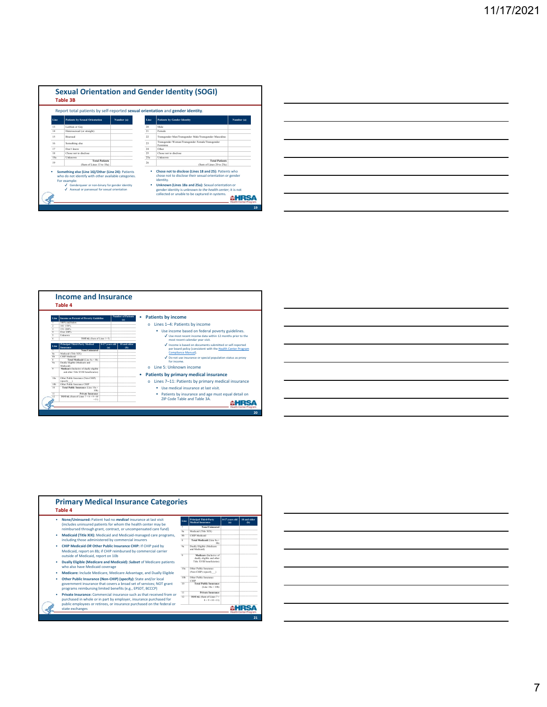| Report total patients by self-reported sexual orientation and gender identity.                                                                                                |                                                   |            |          |                                                                                                                                                                                      |            |  |  |
|-------------------------------------------------------------------------------------------------------------------------------------------------------------------------------|---------------------------------------------------|------------|----------|--------------------------------------------------------------------------------------------------------------------------------------------------------------------------------------|------------|--|--|
| Line                                                                                                                                                                          | <b>Patients by Sexual Orientation</b>             | Number (a) | Line     | <b>Patients by Gender Identity</b>                                                                                                                                                   | Number (a) |  |  |
| 13                                                                                                                                                                            | Lesbian or Gav                                    |            | 20       | Male                                                                                                                                                                                 |            |  |  |
| 14                                                                                                                                                                            | Heterosexual (or straight)                        |            | 21       | Female                                                                                                                                                                               |            |  |  |
| 15                                                                                                                                                                            | Risexual                                          |            | $\gamma$ | Transgender Man/Transgender Male/Transgender Masculine                                                                                                                               |            |  |  |
| 16                                                                                                                                                                            | Something else                                    |            | 23       | Transgender Woman/Transgender Female/Transgender<br>Feminine                                                                                                                         |            |  |  |
| 17                                                                                                                                                                            | Don't know                                        |            | 24       | Other                                                                                                                                                                                |            |  |  |
| 18                                                                                                                                                                            | Chose not to disclose                             |            | 25       | Chose not to disclose                                                                                                                                                                |            |  |  |
| 18a                                                                                                                                                                           | Unknown                                           |            | 25a      | Linknown                                                                                                                                                                             |            |  |  |
| 19                                                                                                                                                                            | <b>Total Patients</b><br>(Sum of Lines 13 to 18a) |            | 26       | <b>Total Patients</b><br>(Sum of Lines 20 to 25a)                                                                                                                                    |            |  |  |
| Something else (Line 16)/Other (Line 24): Patients<br>who do not identify with other available categories.<br>For example:<br>√ Genderqueer or non-binary for gender identity |                                                   |            | ٠        | Chose not to disclose (Lines 18 and 25): Patients who<br>chose not to disclose their sexual orientation or gender<br>identity.<br>Unknown (Lines 18a and 25a): Sexual orientation or |            |  |  |
|                                                                                                                                                                               |                                                   |            |          |                                                                                                                                                                                      |            |  |  |

|  |  | <u> 1989 - Johann Barn, mars and de Brasilian (b. 1989)</u>                                                           |  |
|--|--|-----------------------------------------------------------------------------------------------------------------------|--|
|  |  | <u> 1989 - Jan Samuel Barbara, margaret e a seu a componente de la componentación de la componentación de la comp</u> |  |
|  |  | <u> 1989 - Jan Barbara de Santo Antonio de Antonio de Antonio de Antonio de Antonio de Antonio de Antonio de Anto</u> |  |
|  |  | <u> 1989 - Andrea Andrew Maria (h. 1989).</u>                                                                         |  |
|  |  | <u> 1989 - Jan Barat, margaret amerikan basa dan bahasa dan bahasa dalam basa dalam basa dalam basa dalam basa da</u> |  |
|  |  | <u> 1989 - Johann Barn, mars ann an t-Amhainn an t-Amhainn an t-Amhainn an t-Amhainn an t-Amhainn an t-Amhainn a</u>  |  |
|  |  |                                                                                                                       |  |

| <b>Income as Percent of Poverty Guideline</b><br>TOTAL (Sum of Lines 1-5)<br><b>Principal Third-Party Medical</b><br>0-17 years old | <b>Number of Patients</b><br>٠<br>(a)                                                                                                                                                      | Patients by income<br>Lines 1-4: Patients by income<br>" Use income based on federal poverty guidelines.<br>√ Use most recent income data within 12 months prior to the |
|-------------------------------------------------------------------------------------------------------------------------------------|--------------------------------------------------------------------------------------------------------------------------------------------------------------------------------------------|-------------------------------------------------------------------------------------------------------------------------------------------------------------------------|
|                                                                                                                                     |                                                                                                                                                                                            |                                                                                                                                                                         |
|                                                                                                                                     |                                                                                                                                                                                            |                                                                                                                                                                         |
|                                                                                                                                     |                                                                                                                                                                                            |                                                                                                                                                                         |
|                                                                                                                                     |                                                                                                                                                                                            |                                                                                                                                                                         |
|                                                                                                                                     |                                                                                                                                                                                            |                                                                                                                                                                         |
|                                                                                                                                     |                                                                                                                                                                                            | most recent calendar year visit.                                                                                                                                        |
| (a)                                                                                                                                 | 18 and older<br><b>Ob)</b>                                                                                                                                                                 | √ Income is based on documents submitted or self-reported                                                                                                               |
| None/Uninsured                                                                                                                      |                                                                                                                                                                                            | per board policy (consistent with the Health Center Program                                                                                                             |
|                                                                                                                                     |                                                                                                                                                                                            | Compliance Manual).                                                                                                                                                     |
|                                                                                                                                     |                                                                                                                                                                                            | √ Do not use insurance or special population status as proxy                                                                                                            |
|                                                                                                                                     |                                                                                                                                                                                            | for income                                                                                                                                                              |
|                                                                                                                                     |                                                                                                                                                                                            |                                                                                                                                                                         |
|                                                                                                                                     |                                                                                                                                                                                            | Line 5: Unknown income                                                                                                                                                  |
|                                                                                                                                     |                                                                                                                                                                                            | Patients by primary medical insurance                                                                                                                                   |
|                                                                                                                                     |                                                                                                                                                                                            | Lines 7-11: Patients by primary medical insurance                                                                                                                       |
|                                                                                                                                     |                                                                                                                                                                                            |                                                                                                                                                                         |
| 10%)                                                                                                                                |                                                                                                                                                                                            | Use medical insurance at last visit.                                                                                                                                    |
|                                                                                                                                     |                                                                                                                                                                                            |                                                                                                                                                                         |
| Private Insurance<br><b>TOTAL</b> (Sum of Lines $7 + 8 + 9 + 10$                                                                    |                                                                                                                                                                                            | Patients by insurance and age must equal detail on                                                                                                                      |
| Dually Eligible (Medicare and                                                                                                       | Total Medicaid (Line Sa + Sh)<br>Medicare (Inclusive of dually cligible<br>and other Title XVIII hearficiaries).<br>Other Public Insurance (Non-CHIP)<br>Total Public Insurance (Line 10a+ |                                                                                                                                                                         |

| <u> The Communication of the Communication of the Communication of the Communication of the Communication of the Communication of the Communication of the Communication of the Communication of the Communication of the Commun</u><br><u> Andreas Andreas Andreas Andreas Andreas Andreas Andreas Andreas Andreas Andreas Andreas Andreas Andreas Andr</u> |                                                                 |  |  |  |
|--------------------------------------------------------------------------------------------------------------------------------------------------------------------------------------------------------------------------------------------------------------------------------------------------------------------------------------------------------------|-----------------------------------------------------------------|--|--|--|
|                                                                                                                                                                                                                                                                                                                                                              |                                                                 |  |  |  |
|                                                                                                                                                                                                                                                                                                                                                              |                                                                 |  |  |  |
|                                                                                                                                                                                                                                                                                                                                                              |                                                                 |  |  |  |
|                                                                                                                                                                                                                                                                                                                                                              | the contract of the contract of the contract of the contract of |  |  |  |
|                                                                                                                                                                                                                                                                                                                                                              |                                                                 |  |  |  |

| Table 4                                                                                                                                      |                         |                                                          |                       |                     |
|----------------------------------------------------------------------------------------------------------------------------------------------|-------------------------|----------------------------------------------------------|-----------------------|---------------------|
| None/Uninsured: Patient had no <i>medical</i> insurance at last visit<br>(includes uninsured patients for whom the health center may be      | Line                    | <b>Principal Third-Party</b><br><b>Medical Insurance</b> | 0-17 years old<br>(a) | 18 and older<br>(b) |
| reimbursed through grant, contract, or uncompensated care fund)                                                                              | $\mathcal{I}$           | None/Uninsured                                           |                       |                     |
|                                                                                                                                              | 8a                      | Medicaid (Title XIX)                                     |                       |                     |
| <b>Medicaid (Title XIX):</b> Medicaid and Medicaid-managed care programs.                                                                    | 8h                      | <b>CHIP Medicaid</b>                                     |                       |                     |
| including those administered by commercial insurers                                                                                          | $\overline{\mathbf{x}}$ | Total Medicaid (Line 8a+<br>\$h                          |                       |                     |
| <b>CHIP Medicaid OR Other Public Insurance CHIP: If CHIP paid by</b><br>Medicaid, report on 8b: if CHIP reimbursed by commercial carrier     | $q_{2}$                 | Dually Eligible (Medicare<br>and Medicaid)               |                       |                     |
| outside of Medicaid, report on 10b                                                                                                           | $\bf{Q}$                | Medicare (Inclusive of<br>dually cligible and other      |                       |                     |
| Dually Eligible (Medicare and Medicaid): Subset of Medicare patients<br>who also have Medicaid coverage                                      |                         | Title XVIII heneficiaries)                               |                       |                     |
| Medicare: Include Medicare, Medicare Advantage, and Dually Eligible                                                                          | 10a                     | Other Public Insurance<br>(Non-CHIP) (specify )          |                       |                     |
| Other Public Insurance (Non-CHIP) (specify): State and/or local                                                                              | 10 <sub>b</sub>         | Other Public Inquester<br>CHIP                           |                       |                     |
| government insurance that covers a broad set of services; NOT grant<br>programs reimbursing limited benefits (e.g., EPSDT, BCCCP)            | 10                      | <b>Total Public Insurance</b><br>(Line $10a + 10b$ )     |                       |                     |
| Private Insurance: Commercial insurance such as that received from or                                                                        | 11                      | <b>Private Insurance</b>                                 |                       |                     |
| purchased in whole or in part by employer, insurance purchased for<br>public employees or retirees, or insurance purchased on the federal or | 12 <sup>°</sup>         | TOTAL (Sum of Lines 7+<br>$8 + 9 + 10 + 11$              |                       |                     |

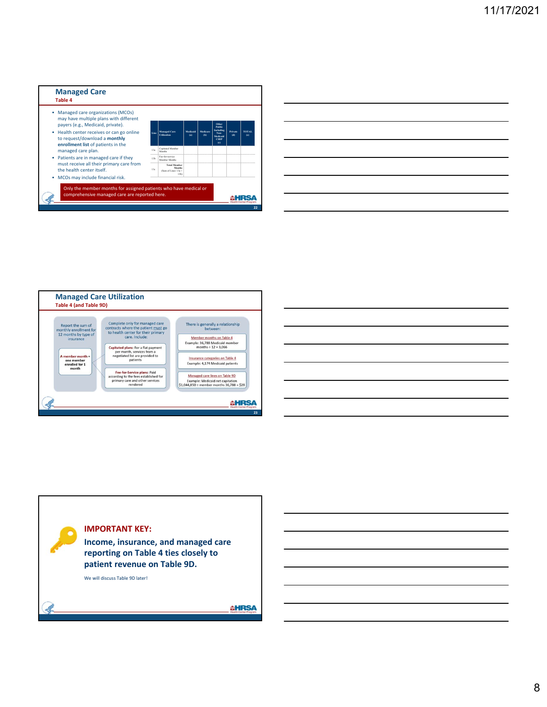

|                                                            |  | <u> 1989 - Andrea Santa Andrea Andrea Andrea Andrea Andrea Andrea Andrea Andrea Andrea Andrea Andrea Andrea Andr</u>  |  |
|------------------------------------------------------------|--|-----------------------------------------------------------------------------------------------------------------------|--|
|                                                            |  | <u> 1989 - Jan Samuel Barbara, margaret a shekara 1989 - Andrea Samuel Barbara, marka 1989 - Andrea Samuel Barbar</u> |  |
| <u> 1989 - Johann Barn, amerikansk politiker (d. 1989)</u> |  | <u> 1980 - John Stone, Amerikaansk politiker (* 1901)</u>                                                             |  |
|                                                            |  |                                                                                                                       |  |
|                                                            |  | <u> 1989 - Jan Barbara de Santo Antonio de Antonio de Antonio de Antonio de Antonio de Antonio de Antonio de Anto</u> |  |
|                                                            |  |                                                                                                                       |  |

 $\overline{\phantom{0}}$ 

 $\overline{\phantom{0}}$ 





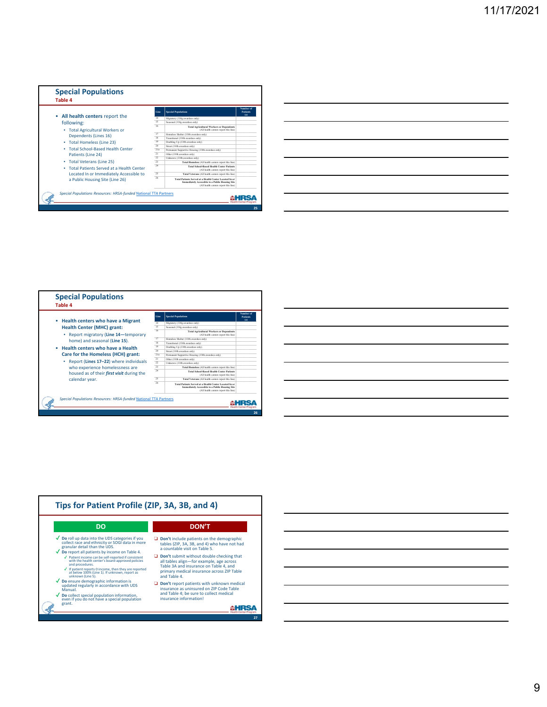

| <u> 1989 - Andrea Andrew Maria (h. 1989).</u>                                                                          |  |  |
|------------------------------------------------------------------------------------------------------------------------|--|--|
| <u> 1989 - Johann Stoff, amerikan bestemanns foar it ferskearre fan de ferskearre fan de ferskearre fan de ferske</u>  |  |  |
| <u> 1989 - Johann Stoff, deutscher Stoff, der Stoff, der Stoff, der Stoff, der Stoff, der Stoff, der Stoff, der S</u>  |  |  |
| <u> 1989 - Johann Stoff, deutscher Stoffen und der Stoffen und der Stoffen und der Stoffen und der Stoffen und der</u> |  |  |
| <u> 1989 - Andrea Santa Andrea Andrea Andrea Andrea Andrea Andrea Andrea Andrea Andrea Andrea Andrea Andrea Andr</u>   |  |  |
| <u> 1989 - Johann Stoff, amerikansk politiker (d. 1989)</u>                                                            |  |  |
| ,我们也不会有一个人的事情。""我们的人,我们也不会有一个人的人,我们也不会有一个人的人,我们也不会有一个人的人,我们也不会有一个人的人,我们也不会有一个人的人,                                      |  |  |

L.

 $\overline{a}$ 



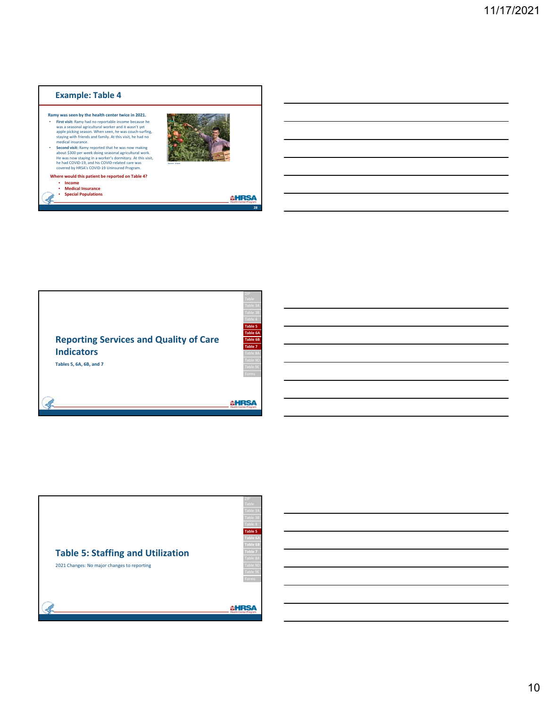### **Example: Table 4 Ramy was seen by the health center twice in 2021.** First visit: Ramy had no reportable income because he<br>was a seasonal agricultural worker and it wasn't yet<br>apple picking season. When seen, he was couch-surfing,<br>staying with friends and family. At this visit, he had no<br>me • **Second visit:** Ramy reported that he was now making<br>about \$300 per week doing seasonal agricultural work.<br>He was now staying in a worker's dormitory. At this visit,<br>he had COVID-19, and his COVID-related care was<br>covere Source: iStock **Where would this patient be reported on Table 4?** ▪ **Income** ▪ **Medical Insurance** ▪ **Special Populations AHRSA 28**



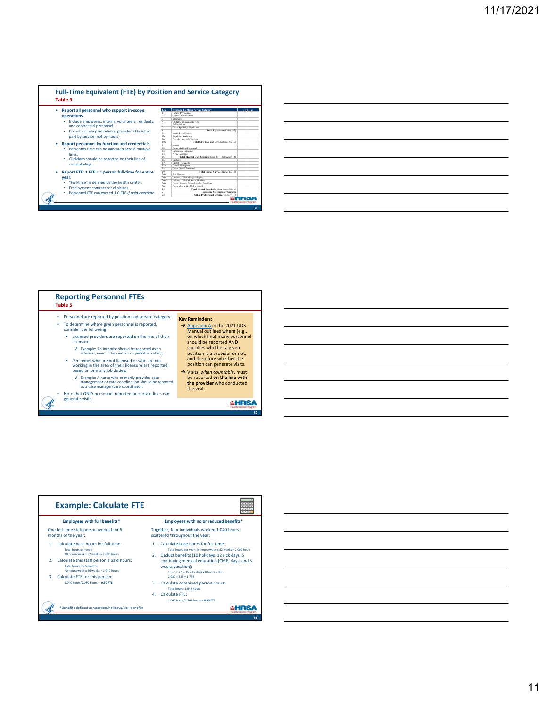|                                                         | Line                    | <b>Personnel by Major Service Category</b>             | FTEs (a) |
|---------------------------------------------------------|-------------------------|--------------------------------------------------------|----------|
| Report all personnel who support in-scope               |                         | Family Physicians                                      |          |
| operations.                                             |                         | General Proctitioners                                  |          |
|                                                         |                         | <b>Internists</b>                                      |          |
| Include employees, interns, volunteers, residents,<br>٠ |                         | Obstetrician/Gynecologists                             |          |
|                                                         | $\frac{4}{5}$           | Pediatricians                                          |          |
| and contracted personnel.                               | 7                       | Other Specialty Physicians                             |          |
| Do not include paid referral provider FTEs when         | $\overline{\mathbf{s}}$ | Total Physicians (Lines 1-7)                           |          |
|                                                         | 9 <sub>2</sub>          | Name Proctitioners                                     |          |
| paid by service (not by hours).                         | $q_h$                   | Physician Assistants                                   |          |
|                                                         | 10                      | Certified Nurse Midwisses                              |          |
| Report personnel by function and credentials.           | 10a                     | Total NPs, PAs, and CNMs (Lines 9a-10).                |          |
|                                                         | 11                      | Norses                                                 |          |
| · Personnel time can be allocated across multiple       | 12                      | Other Medical Personnel                                |          |
|                                                         | 13                      | Laboratory Personnel                                   |          |
| lines.                                                  | 14                      | X-ray Personnel                                        |          |
| . Clinicians should be reported on their line of        | 15<br>16                | Total Medical Care Services (Lines 8 + 10a through 14) |          |
|                                                         |                         | <b>Desticts</b>                                        |          |
| credentialing.                                          | 17<br>17a               | Dental Hygienists<br>Dental Therapists                 |          |
|                                                         | 18                      | Other Dental Personnel                                 |          |
| Report FTE: 1 FTE = 1 person full-time for entire       | 19                      | Total Dental Services (Lines 16-18)                    |          |
|                                                         | 20a                     | Psychiatrists                                          |          |
| year.                                                   | 20a1                    | Licensed Clinical Psychologists                        |          |
|                                                         | 20a2                    | Licensed Clinical Social Workers                       |          |
| . "Full-time" is defined by the health center.          | 20%                     | Other Licensed Mental Health Providers                 |          |
|                                                         | 20c                     | Other Mental Health Personnel                          |          |
| Employment contract for clinicians.                     | 20                      | Total Mental Health Services (Lines 20a-c)             |          |
| Personnel FTE can exceed 1.0 FTE if paid overtime.      | 21                      | Substance Use Disorder Services                        |          |
|                                                         | 22                      | Other Professional Services (specify                   |          |

| <u> 1989 - Johann Stoff, amerikansk politiker (d. 1989)</u> |  |  |  |
|-------------------------------------------------------------|--|--|--|
|                                                             |  |  |  |
|                                                             |  |  |  |
|                                                             |  |  |  |
|                                                             |  |  |  |
|                                                             |  |  |  |
|                                                             |  |  |  |



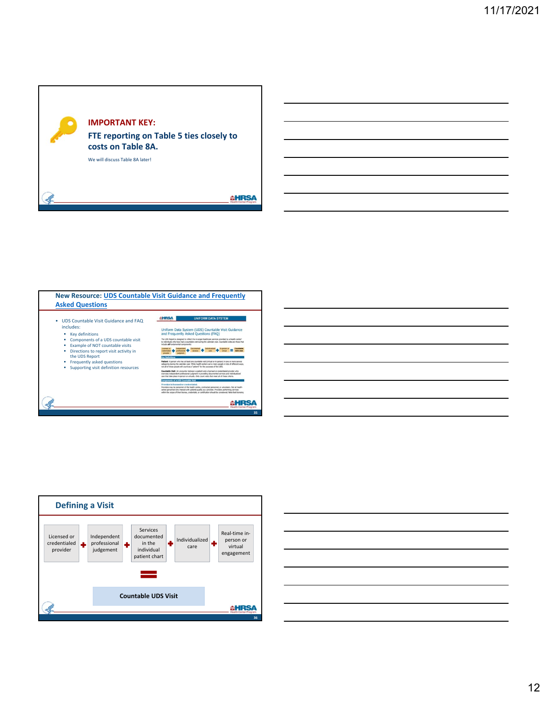







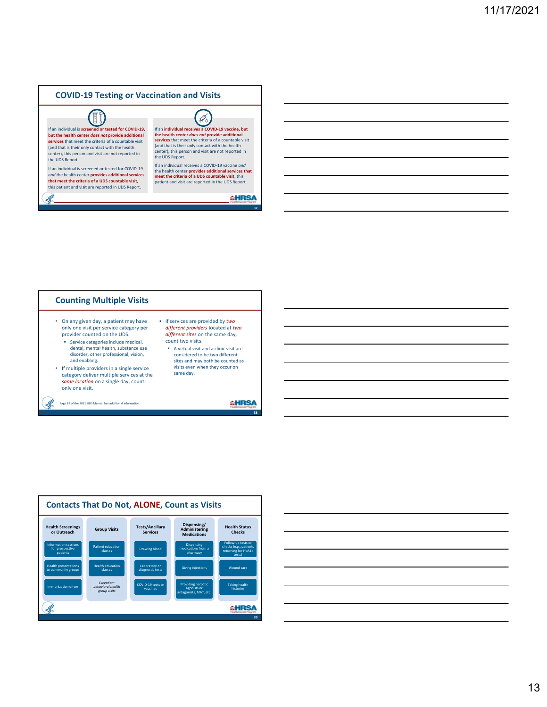# **COVID‐19 Testing or Vaccination and Visits**



If an **individual receives a COVID‐19 vaccine, but the health center** *does not* **provide additional services** that meet the criteria of a countable visit (and that is their only contact with the health center), this person and visit are not reported in

If an individual receives a COVID‐19 vaccine *and* the health center **provides additional services that meet the criteria of a UDS countable visit**, this patient and visit are reported in the UDS Report.

**AHRSA** 

**37**

#### **Counting Multiple Visits** • On any given day, a patient may have • If services are provided by *two*  only one visit per service category per *different providers* located at *two*  provider counted on the UDS. *different sites* on the same day, count two visits. **Service categories include medical,** dental, mental health, substance use A virtual visit and a clinic visit are disorder, other professional, vision, considered to be two different sites and may both be counted as and enabling. visits even when they occur on • If multiple providers in a single service category deliver multiple services at the same day. *same location* on a single day, count only one visit. Page 19 of the 2021 UDS Manual has additional inform **AHRSA** sll **38**



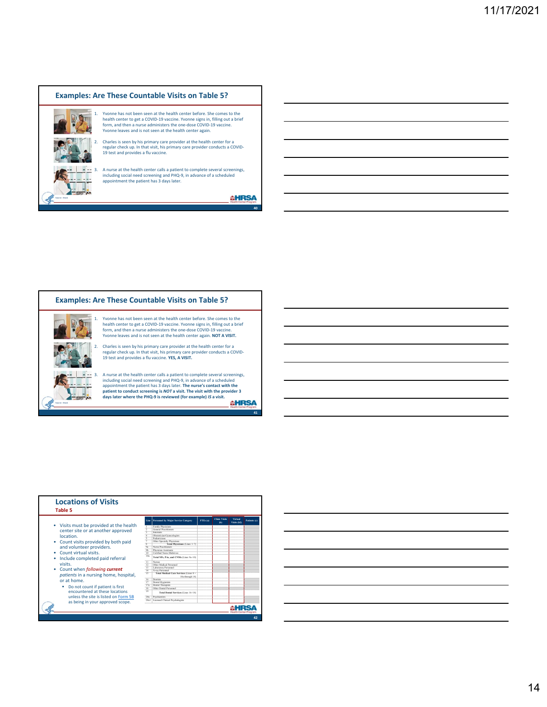### **Examples: Are These Countable Visits on Table 5?**



1. Yvonne has not been seen at the health center before. She comes to the health center to get a COVID‐19 vaccine. Yvonne signs in, filling out a brief form, and then a nurse administers the one‐dose COVID‐19 vaccine. Yvonne leaves and is not seen at the health center again.

2. Charles is seen by his primary care provider at the health center for a regular check up. In that visit, his primary care provider conducts a COVID‐ 19 test and provides a flu vaccine.

3. A nurse at the health center calls a patient to complete several screenings, including social need screening and PHQ‐9, in advance of a scheduled appointment the patient has 3 days later.

**AHRSA** 

**40**

### **Examples: Are These Countable Visits on Table 5?**



1. Yvonne has not been seen at the health center before. She comes to the health center to get a COVID‐19 vaccine. Yvonne signs in, filling out a brief form, and then a nurse administers the one‐dose COVID‐19 vaccine. Yvonne leaves and is not seen at the health center again. **NOT A VISIT.**

2. Charles is seen by his primary care provider at the health center for a regular check up. In that visit, his primary care provider conducts a COVID‐ 19 test and provides a flu vaccine. **YES, A VISIT.**

3. A nurse at the health center calls a patient to complete several screenings, including social need screening and PHQ‐9, in advance of a scheduled appointment the patient has 3 days later. T<mark>he nurse's contact with the</mark><br>patient to conduct screening is NOT a visit. The visit with the provider 3<br>days later where the PHQ-9 is reviewed (for example) /S a visit. **AHRSA** 

**41**

| <b>Locations of Visits</b><br>Table 5 |                          |                                                          |          |                                |                        |              |
|---------------------------------------|--------------------------|----------------------------------------------------------|----------|--------------------------------|------------------------|--------------|
|                                       | Line                     | <b>Personnel by Major Service Category</b>               | FTEs (a) | <b>Clinic Visits</b><br>$\Phi$ | Virtual<br>Visits (b2) | Patients (c) |
| Visits must be provided at the health |                          | Family Physicians                                        |          |                                |                        |              |
|                                       | $\overline{2}$           | General Practitioners                                    |          |                                |                        |              |
| center site or at another approved    | τ                        | Internicts                                               |          |                                |                        |              |
| location.                             | z                        | Obstetrician/Gynecologists                               |          |                                |                        |              |
|                                       | $\overline{\mathbf{s}}$  | Pediatricians                                            |          |                                |                        |              |
| Count visits provided by both paid    | $\overline{\phantom{a}}$ | Other Specialty Physicians                               |          |                                |                        |              |
|                                       | 8<br>$Q_2$               | Total Physicians (Lines 1-7)<br>Norse Prontitioners      |          |                                |                        |              |
| and volunteer providers.              | $q_h$                    | Physician Assistants                                     |          |                                |                        |              |
| Count virtual visits.                 | 10                       | Certified Nurse Midwines                                 |          |                                |                        |              |
| Include completed paid referral       | 10a                      | Total NPs, PAs, and CNMs (Lines 9a-10)                   |          |                                |                        |              |
|                                       | $\overline{11}$          | Ninsea                                                   |          |                                |                        |              |
| visits.                               | 12                       | Other Medical Personnel                                  |          |                                |                        |              |
| Count when <i>following current</i>   | 13                       | Laboratory Personnel                                     |          |                                |                        |              |
|                                       | 14                       | X-ray Personnel                                          |          |                                |                        |              |
| patients in a nursing home, hospital, | 15                       | Total Medical Care Services (Lines 8+<br>10a through 14) |          |                                |                        |              |
| or at home.                           | 16                       | <b>Therefore</b>                                         |          |                                |                        |              |
|                                       | 17                       | Dental Hygienists<br>Dental Therapists                   |          |                                |                        |              |
| Do not count if patient is first      | 17a<br>18                | Other Dental Personnel                                   |          |                                |                        |              |
| encountered at these locations        | 19                       | Total Dental Services (Lines 16-18)                      |          |                                |                        |              |
| unless the site is listed on Form 5B  | 20a                      | Psychiatrists                                            |          |                                |                        |              |
| as being in your approved scope.      | 20a1                     | Licensed Clinical Psychologists                          |          |                                |                        |              |
|                                       |                          |                                                          |          |                                |                        |              |

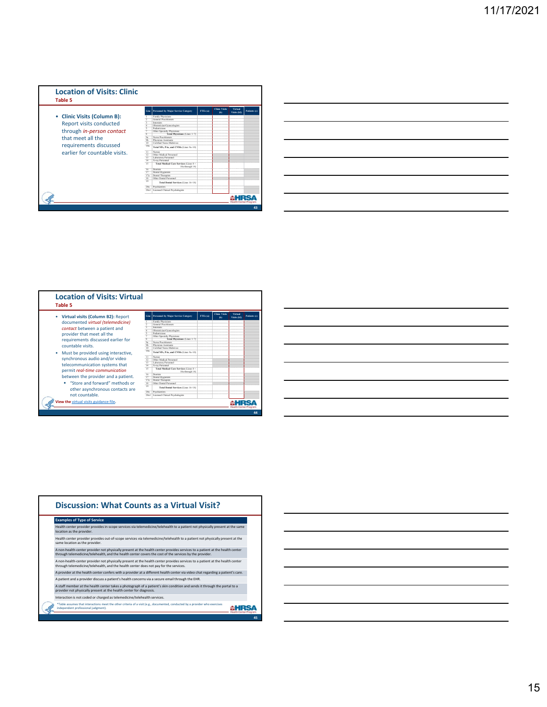

|                                                                                                                                                                       | $\overline{\phantom{a}}$ |
|-----------------------------------------------------------------------------------------------------------------------------------------------------------------------|--------------------------|
|                                                                                                                                                                       |                          |
| <u>.</u> A strong the contract of the contract of the contract of the contract of the contract of the contract of the con                                             | ______                   |
|                                                                                                                                                                       |                          |
|                                                                                                                                                                       |                          |
|                                                                                                                                                                       |                          |
|                                                                                                                                                                       | $\overline{\phantom{a}}$ |
|                                                                                                                                                                       |                          |
|                                                                                                                                                                       |                          |
|                                                                                                                                                                       |                          |
| ,我们也不会有一个人的事情。""我们的人,我们也不会有一个人的人,我们也不会有一个人的人,我们也不会有一个人的人,我们也不会有一个人的人,我们也不会有一个人的人,<br>第二百一十一章 第二百一十一章 第二百一十一章 第二百一十一章 第二百一十一章 第二百一十一章 第二百一章 第二百一章 第二百一章 第二百一章 第二百一章 第二 | _____                    |
|                                                                                                                                                                       |                          |
| the contract of the contract of the contract of the contract of the contract of                                                                                       |                          |

| <b>Location of Visits: Virtual</b><br>Table 5 |                         |                                                          |          |                                |                               |              |
|-----------------------------------------------|-------------------------|----------------------------------------------------------|----------|--------------------------------|-------------------------------|--------------|
| Virtual visits (Column B2): Report<br>٠       |                         | Line Personnel by Major Service Category                 | FTEs (a) | <b>Clinic Visits</b><br>$\Phi$ | <b>Virtual</b><br>Visits (b2) | Patients (c) |
| documented virtual (telemedicine)             |                         | Family Physicians                                        |          |                                |                               |              |
|                                               |                         | General Practitioners                                    |          |                                |                               |              |
| contact between a patient and                 |                         | Internists<br>Obstetrician/Gynecologists                 |          |                                |                               |              |
|                                               |                         | Pediatricians                                            |          |                                |                               |              |
| provider that meet all the                    |                         | Other Specialty Physicians                               |          |                                |                               |              |
| requirements discussed earlier for            | $\overline{\mathbf{x}}$ | Total Physicians (Lines 1-7)                             |          |                                |                               |              |
|                                               | $\overline{Q_2}$        | Nurse Practitioners                                      |          |                                |                               |              |
| countable visits.                             | $q_h$                   | Physician Assistants                                     |          |                                |                               |              |
|                                               | 10                      | Certified Nurse Midwisses                                |          |                                |                               |              |
| Must be provided using interactive,           | 10a                     | Total NPs, PAs, and CNMs (Lines 9a-10)                   |          |                                |                               |              |
| synchronous audio and/or video                | 11                      | <b>Nones</b>                                             |          |                                |                               |              |
|                                               | 12 <sup>2</sup><br>13   | Other Medical Personnel<br>Laboratory Personnel          |          |                                |                               |              |
| telecommunication systems that                | 14                      | X-ray Personnel                                          |          |                                |                               |              |
| permit real-time communication                | 15                      | Total Medical Care Services (Lines 8+<br>10a through 14) |          |                                |                               |              |
|                                               | 16                      | <b>Therefore</b>                                         |          |                                |                               |              |
| between the provider and a patient.           | 17                      | Dental Hygienists                                        |          |                                |                               |              |
|                                               | 17a                     | Dental Therapists                                        |          |                                |                               |              |
| "Store and forward" methods or                | 18                      | Other Dental Personnel                                   |          |                                |                               |              |
| other asynchronous contacts are               | 19                      | Total Dental Services (Lines 16-18)                      |          |                                |                               |              |
|                                               | 20a                     | Psychiatrists                                            |          |                                |                               |              |
| not countable                                 | 20a1                    | Licensed Clinical Psychologists                          |          |                                |                               |              |
| View the virtual visits guidance file.        |                         |                                                          |          |                                |                               |              |

| <b>Examples of Type of Service</b>                                                                                                                                                                                                      |  |
|-----------------------------------------------------------------------------------------------------------------------------------------------------------------------------------------------------------------------------------------|--|
|                                                                                                                                                                                                                                         |  |
| Health center provider provides in-scope services via telemedicine/telehealth to a patient not physically present at the same<br>location as the provider.                                                                              |  |
| Health center provider provides out-of-scope services via telemedicine/telehealth to a patient not physically present at the<br>same location as the provider.                                                                          |  |
| A non-health-center provider not physically present at the health center provides services to a patient at the health center<br>through telemedicine/telehealth, and the health center covers the cost of the services by the provider. |  |
| A non-health-center provider not physically present at the health center provides services to a patient at the health center<br>through telemedicine/telehealth, and the health center does not pay for the services.                   |  |
| A provider at the health center confers with a provider at a different health center via video chat regarding a patient's care.                                                                                                         |  |
| A patient and a provider discuss a patient's health concerns via a secure email through the EHR.                                                                                                                                        |  |
| A staff member at the health center takes a photograph of a patient's skin condition and sends it through the portal to a<br>provider not physically present at the health center for diagnosis.                                        |  |
| Interaction is not coded or charged as telemedicine/telehealth services.                                                                                                                                                                |  |
| *Table assumes that interactions meet the other criteria of a visit (e.g., documented, conducted by a provider who exercises<br>independent professional judgment).                                                                     |  |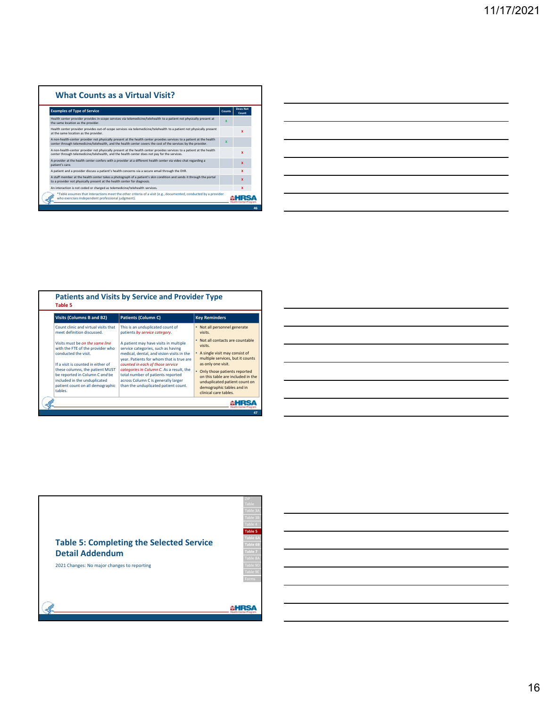### **What Counts as a Virtual Visit?**

| <b>Examples of Type of Service</b>                                                                                                                                                                                                      | Counts                  | Does Not<br>Count |
|-----------------------------------------------------------------------------------------------------------------------------------------------------------------------------------------------------------------------------------------|-------------------------|-------------------|
| Health center provider provides in-scope services via telemedicine/telehealth to a patient not physically present at<br>the same location as the provider.                                                                              | $\overline{\mathbf{x}}$ |                   |
| Health center provider provides out-of-scope services via telemedicine/telehealth to a patient not physically present<br>at the same location as the provider.                                                                          |                         | x                 |
| A non-health-center provider not physically present at the health center provides services to a patient at the health<br>center through telemedicine/telehealth, and the health center covers the cost of the services by the provider, | ×                       |                   |
| A non-health-center provider not physically present at the health center provides services to a patient at the health<br>center through telemedicine/telehealth, and the health center does not pay for the services.                   |                         | x                 |
| A provider at the health center confers with a provider at a different health center via video chat regarding a<br>patient's care.                                                                                                      |                         | $\mathbf x$       |
| A patient and a provider discuss a patient's health concerns via a secure email through the EHR.                                                                                                                                        |                         | x                 |
| A staff member at the health center takes a photograph of a patient's skin condition and sends it through the portal<br>to a provider not physically present at the health center for diagnosis.                                        |                         | x                 |
| An interaction is not coded or charged as telemedicine/telehealth services.                                                                                                                                                             |                         | x                 |
| *Table assumes that interactions meet the other criteria of a visit (e.g., documented, conducted by a provider<br>who exercises independent professional judgment).                                                                     |                         |                   |
|                                                                                                                                                                                                                                         |                         |                   |

| <b>Visits (Columns B and B2)</b>                                                                                                                                                                                                                                                      | <b>Patients (Column C)</b>                                                                                                                                                                                                                                                                                                                                               | <b>Key Reminders</b>                                                                                                                                                                                                                                                                                 |
|---------------------------------------------------------------------------------------------------------------------------------------------------------------------------------------------------------------------------------------------------------------------------------------|--------------------------------------------------------------------------------------------------------------------------------------------------------------------------------------------------------------------------------------------------------------------------------------------------------------------------------------------------------------------------|------------------------------------------------------------------------------------------------------------------------------------------------------------------------------------------------------------------------------------------------------------------------------------------------------|
| Count clinic and virtual visits that<br>meet definition discussed.                                                                                                                                                                                                                    | This is an unduplicated count of<br>patients by service category.                                                                                                                                                                                                                                                                                                        | • Not all personnel generate<br>visits.                                                                                                                                                                                                                                                              |
| Visits must be on the same line<br>with the FTE of the provider who<br>conducted the visit.<br>If a visit is counted in either of<br>these columns, the patient MUST<br>be reported in Column C and be<br>included in the unduplicated<br>patient count on all demographic<br>tables. | A patient may have visits in multiple<br>service categories, such as having<br>medical, dental, and vision visits in the<br>year. Patients for whom that is true are<br>counted in each of those service<br>categories in Column C. As a result, the<br>total number of patients reported<br>across Column C is generally larger<br>than the unduplicated patient count. | • Not all contacts are countable<br>visits.<br>• A single visit may consist of<br>multiple services, but it counts<br>as only one visit.<br>Only those patients reported<br>on this table are included in the<br>unduplicated patient count on<br>demographic tables and in<br>clinical care tables. |



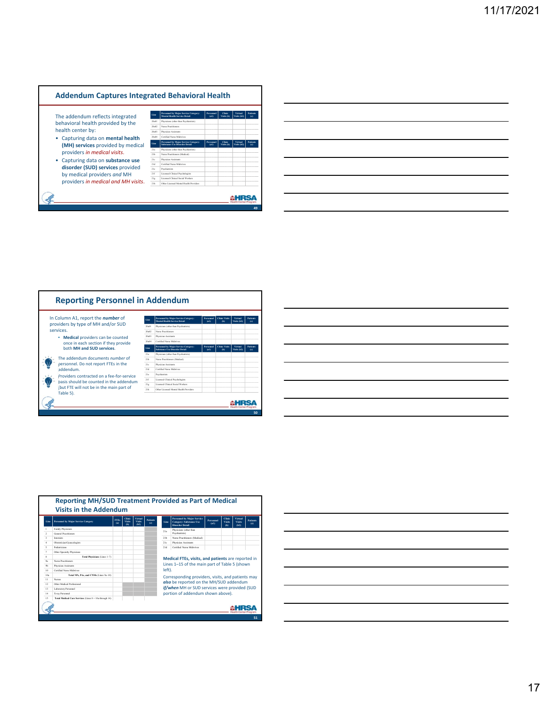### **Addendum Captures Integrated Behavioral Health**

The addendum reflects integrated behavioral health provided by the health center by:

- Capturing data on **mental health (MH) services** provided by medical providers *in medical visits*.
- Capturing data on **substance use disorder (SUD) services** provided by medical providers *and* MH providers *in medical and MH visits*.

| Line            | Personnel by Maior Service Caterory:<br><b>Mental Health Service Detail</b>  | Personnel<br>(a)        | Clinic<br>Visits (b) | Virtual<br>Visits (b2) | Patients<br>(c) |
|-----------------|------------------------------------------------------------------------------|-------------------------|----------------------|------------------------|-----------------|
| 20+01           | Physicians (other than Psychiatrists)                                        |                         |                      |                        |                 |
| 20+02           | Norse Peartitioners                                                          |                         |                      |                        |                 |
| 20+03           | Physician Assistants                                                         |                         |                      |                        |                 |
| 20+04           | Certified Name Midwiges                                                      |                         |                      |                        |                 |
| Line            | Personnel by Maior Service Caterory:<br><b>Substance Use Disorder Detail</b> | <b>Personnel</b><br>(a) | Clinic<br>Visits (b) | Virtual<br>Visits (b2) | Patients<br>(c) |
| 21a             | Physicians (other than Psychiatrists)                                        |                         |                      |                        |                 |
| 21h             | Nurse Practitioners (Medical)                                                |                         |                      |                        |                 |
| 21c             | Physician Assistants                                                         |                         |                      |                        |                 |
| 214             | Certified Name Midwiges                                                      |                         |                      |                        |                 |
| 21 <sub>c</sub> | Psychiatrists                                                                |                         |                      |                        |                 |
| 21f             | Licensed Clinical Psychologists                                              |                         |                      |                        |                 |
| 21e             | Licensed Clinical Social Workers                                             |                         |                      |                        |                 |
| 21h             | Other Licensed Mental Health Providers                                       |                         |                      |                        |                 |



|                                        | __  |
|----------------------------------------|-----|
|                                        |     |
|                                        | ___ |
|                                        |     |
|                                        |     |
|                                        |     |
|                                        |     |
|                                        |     |
| the control of the control of the con- |     |
|                                        |     |

| Line             | <b>Personnel by Major Service Caterory</b> | <b>FTEs</b><br>(a) | Clinic<br><b>Visits</b><br>$\Phi$ | Virtual<br>Visits<br>(162) | <b>Patients</b><br>(c) | Line   | <b>Personnel by Major Service</b><br><b>Caterory: Substance Use</b><br><b>Disorder Detail</b> | <b>Personnel</b><br>(a1) | Clinic<br>Vicite<br>(b) | Virtual<br><b>Vicits</b><br>(b2) | <b>Patients</b><br>(c) |
|------------------|--------------------------------------------|--------------------|-----------------------------------|----------------------------|------------------------|--------|-----------------------------------------------------------------------------------------------|--------------------------|-------------------------|----------------------------------|------------------------|
|                  | Family Physicians                          |                    |                                   |                            |                        | 21a    | Physicians (other than                                                                        |                          |                         |                                  |                        |
| ,                | General Practitioners                      |                    |                                   |                            |                        |        | Psychiatrists)                                                                                |                          |                         |                                  |                        |
| $\overline{A}$   | Internicts                                 |                    |                                   |                            |                        | 21h    | Nurse Practitioners (Medical)                                                                 |                          |                         |                                  |                        |
| $\Delta$         | Obstetrician/Gynecologists                 |                    |                                   |                            |                        | 216    | Physician Assistants                                                                          |                          |                         |                                  |                        |
| ×.               | <b>Pediatricians</b>                       |                    |                                   |                            |                        | 214    | Certified Nurse Midwisser                                                                     |                          |                         |                                  |                        |
| $\tau$           | Other Specialty Physicians                 |                    |                                   |                            |                        |        |                                                                                               |                          |                         |                                  |                        |
| $\mathbf{x}$     | Total Physicians (Lines 1-7)               |                    |                                   |                            |                        |        |                                                                                               |                          |                         |                                  |                        |
| q.               | Nurse Practitioners                        |                    |                                   |                            |                        |        | Medical FTEs, visits, and patients are reported in                                            |                          |                         |                                  |                        |
| 95               | Physician Assistants                       |                    |                                   |                            |                        |        | Lines 1-15 of the main part of Table 5 (shown                                                 |                          |                         |                                  |                        |
| 10 <sub>10</sub> | Certified Name Midwives                    |                    |                                   |                            |                        | left). |                                                                                               |                          |                         |                                  |                        |
| 10a              | Total NPs, PAs, and CNMs (Lines 9a-10).    |                    |                                   |                            |                        |        | Corresponding providers, visits, and patients may                                             |                          |                         |                                  |                        |
| 11               | <b>Nurses</b>                              |                    |                                   |                            |                        |        |                                                                                               |                          |                         |                                  |                        |
| 12               | Other Medical Professional                 |                    |                                   |                            |                        |        | also be reported on the MH/SUD addendum                                                       |                          |                         |                                  |                        |
| 13.              | Laboratory Personnel                       |                    |                                   |                            |                        |        | if/when MH or SUD services were provided (SUD                                                 |                          |                         |                                  |                        |
|                  |                                            |                    |                                   |                            |                        |        | portion of addendum shown above).                                                             |                          |                         |                                  |                        |
| 14               | X-ray Personnel                            |                    |                                   |                            |                        |        |                                                                                               |                          |                         |                                  |                        |

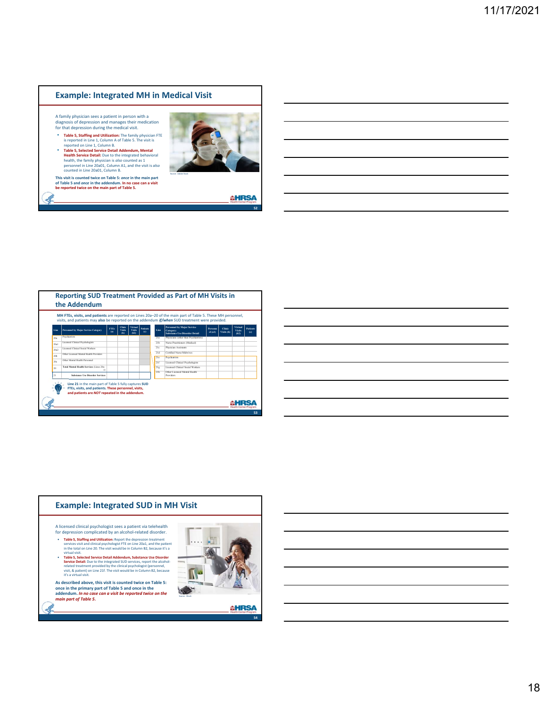### **Example: Integrated MH in Medical Visit**

A family physician sees a patient in person with a diagnosis of depression and manages their medication for that depression during the medical visit.

**Table 5, Staffing and Utilization:** The family physician FTE<br>is reported on Line 1, Column A of Table 5. The visit is<br>reported on Line 1, Column A.<br>**Table 5, Selected Service Detail Adendum, Mental**<br>**Health Service Detai** 

**This visit is counted twice on Table 5:** *once* **in the main part of Table 5 and** *once* **in the addendum. In no case can a visit be reported twice on the main part of Table 5.**



**AHRSA** 

**52**

| Line | Personnel by Major Service Category            | <b>FTEs</b><br>(a) | Clinic<br>Visits<br>$\Phi$ | Virtual<br>Vicity<br>(162) | Patients<br>$\epsilon$ | Line            | <b>Personnel by Major Service</b><br>Caterory:<br><b>Substance Use Disorder Detail</b> | Personn<br>el (a1) | Clinic<br>Visits (b) | <b>Virtual</b><br>Vicity<br>(b2) | Patients<br>(c) |
|------|------------------------------------------------|--------------------|----------------------------|----------------------------|------------------------|-----------------|----------------------------------------------------------------------------------------|--------------------|----------------------|----------------------------------|-----------------|
| 20a  | <b>Psychiatrists</b>                           |                    |                            |                            |                        | 21a             | Physicians (other than Psychiatrists)                                                  |                    |                      |                                  |                 |
| 20a1 | Licensed Clinical Psychologists                |                    |                            |                            |                        | 21h             | Nurse Practitioners (Medical)                                                          |                    |                      |                                  |                 |
| 20a2 | Licensed Clinical Social Workers               |                    |                            |                            |                        | 21 <sub>c</sub> | Physician Assistants                                                                   |                    |                      |                                  |                 |
|      | Other Licensed Mental Health Providers         |                    |                            |                            |                        | 21d             | Certified Narse Midwisses                                                              |                    |                      |                                  |                 |
| 20%  | Other Mental Health Personnel                  |                    |                            |                            |                        | 21 <sub>e</sub> | <b>Psychiatrists</b>                                                                   |                    |                      |                                  |                 |
| 20+  |                                                |                    |                            |                            |                        | 21f             | Licensed Clinical Psychologists                                                        |                    |                      |                                  |                 |
| 20   | Total Mental Health Services (Lines 20a-<br>c) |                    |                            |                            |                        | 21x             | Licensed Clinical Social Workers                                                       |                    |                      |                                  |                 |
| 21   | Substance Lise Disorder Services               |                    |                            |                            |                        | 21h             | Other Licensed Mental Health<br>Providers                                              |                    |                      |                                  |                 |

|  |  | <u> 1989 - Johann Stoff, deutscher Stoff, der Stoff, der Stoff, der Stoff, der Stoff, der Stoff, der Stoff, der S</u>  |  |
|--|--|------------------------------------------------------------------------------------------------------------------------|--|
|  |  | <u> 1989 - Andrea Andrew Maria (h. 1989).</u>                                                                          |  |
|  |  | <u> 1989 - Johann Barn, amerikan bernama di sebagai bernama dan bernama di sebagai bernama di sebagai bernama di</u>   |  |
|  |  | <u> 1989 - Johann Stoff, amerikansk politiker (d. 1989)</u>                                                            |  |
|  |  | <u> 1989 - Johann Barn, mars ann an t-Amhain ann an t-Amhain ann an t-Amhain ann an t-Amhain ann an t-Amhain ann a</u> |  |
|  |  | <u> 1989 - Johann Barn, amerikan bernama di sebagai bernama di sebagai bernama di sebagai bernama di sebagai ber</u>   |  |
|  |  | <u> 1989 - Johann Stoff, deutscher Stoff, der Stoff, der Stoff, der Stoff, der Stoff, der Stoff, der Stoff, der S</u>  |  |
|  |  |                                                                                                                        |  |

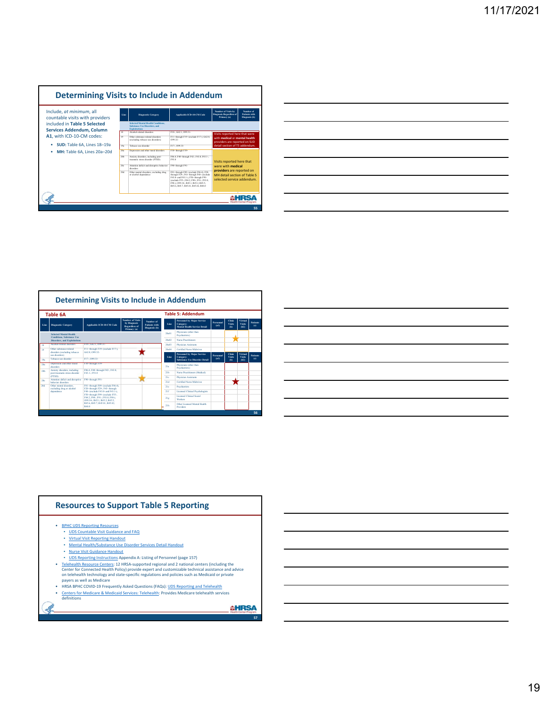### **Determining Visits to Include in Addendum**

| Include, at minimum, all<br>countable visits with providers      | Line            | <b>Diamostic Caterory</b>                                                                                | <b>Applicable ICD-10-CM Code</b>                                                                                                                                                                                                                        | <b>Number of Visits by</b><br><b>Diagnosis Regardless of</b><br>Primacy (a)             | Number of<br><b>Patients with</b><br>Diagnosis (b) |
|------------------------------------------------------------------|-----------------|----------------------------------------------------------------------------------------------------------|---------------------------------------------------------------------------------------------------------------------------------------------------------------------------------------------------------------------------------------------------------|-----------------------------------------------------------------------------------------|----------------------------------------------------|
| included in Table 5 Selected<br><b>Services Addendum, Column</b> |                 | <b>Selected Mental Health Conditions.</b><br><b>Substance Use Disorders, and</b><br><b>Exploitations</b> |                                                                                                                                                                                                                                                         |                                                                                         |                                                    |
|                                                                  | 18              | Alcohol, related disorders                                                                               | F10-, G62.1, O99.31-                                                                                                                                                                                                                                    | Visits reported here that were                                                          |                                                    |
| A1. with ICD-10-CM codes:                                        | 19              | Other substance-related disorders<br>(excluding tobacco use disorders)                                   | F11- through F19- (exclude F17-), G62.0.<br>099.32.                                                                                                                                                                                                     | with medical or mental health.<br>providers are reported on SUD                         |                                                    |
| SUD: Table 6A, Lines 18-19a                                      | 19 <sub>0</sub> | Tobacco use disorder                                                                                     | F17-, O99.33-                                                                                                                                                                                                                                           | detail section of T5 addendum.                                                          |                                                    |
| MH: Table 6A. Lines 20a-20d                                      | 20 <sub>n</sub> | Depression and other mood disorders                                                                      | F30-through F39-                                                                                                                                                                                                                                        |                                                                                         |                                                    |
|                                                                  | 205             | Arctiety disorders, including post-<br>traumatic stress disorder (PTSD)                                  | F06.4, F40- through F42-, F43.0, F43.1-,<br>P93 O                                                                                                                                                                                                       | Visits reported here that                                                               |                                                    |
|                                                                  | 20 <sub>o</sub> | Attention deficit and disrustive behavior<br>discolors                                                   | F90-through F91-                                                                                                                                                                                                                                        | were with medical                                                                       |                                                    |
|                                                                  | 204             | Other mental disorders, excluding drug<br>or alcohol dependence                                          | F01- through F09- (exclude F06.4), F20-<br>through F29-, F43- through F48- (exclude<br>F43.0- and F43.1-), F50- through F99-<br>(exclude F55-, F84.2, F90-, F91-, F93.0,<br>F98-1, O99.34-, R45.1, R45.2, R45.5.<br>R45.6, R45.7, R45.81, R45.82, R48.0 | providers are reported on<br>MH detail section of Table 5<br>selected service addendum. |                                                    |
|                                                                  |                 |                                                                                                          |                                                                                                                                                                                                                                                         |                                                                                         |                                                    |
|                                                                  |                 |                                                                                                          |                                                                                                                                                                                                                                                         |                                                                                         | 55                                                 |

| <u> 1989 - Andrea Santa Andrea Andrea Andrea Andrea Andrea Andrea Andrea Andrea Andrea Andrea Andrea Andrea Andr</u> |  | $\overline{\phantom{a}}$ |
|----------------------------------------------------------------------------------------------------------------------|--|--------------------------|
|                                                                                                                      |  |                          |
|                                                                                                                      |  |                          |
|                                                                                                                      |  | _______                  |
|                                                                                                                      |  |                          |
|                                                                                                                      |  |                          |
|                                                                                                                      |  |                          |
|                                                                                                                      |  | _______                  |
|                                                                                                                      |  |                          |
|                                                                                                                      |  |                          |
| ,我们也不会有什么?""我们的人,我们也不会有什么?""我们的人,我们也不会有什么?""我们的人,我们也不会有什么?""我们的人,我们也不会有什么?""我们的人                                     |  |                          |
|                                                                                                                      |  |                          |
|                                                                                                                      |  |                          |
|                                                                                                                      |  | ________                 |
|                                                                                                                      |  |                          |
|                                                                                                                      |  |                          |
| <u> 1989 - Andrea Andrew Maria (h. 1989).</u>                                                                        |  |                          |
|                                                                                                                      |  |                          |
|                                                                                                                      |  |                          |
|                                                                                                                      |  |                          |

|      | <b>Table 6A</b>                                                        |                                                                                                      |                                                                  |                                             |       | <b>Table 5: Addendum</b>                                                              |                  |                            |                                  |                         |
|------|------------------------------------------------------------------------|------------------------------------------------------------------------------------------------------|------------------------------------------------------------------|---------------------------------------------|-------|---------------------------------------------------------------------------------------|------------------|----------------------------|----------------------------------|-------------------------|
| Line | <b>Disenostic Category</b>                                             | Applicable ICD-10-CM Code                                                                            | Number of Vicine<br>by Disenocic<br>Regardless of<br>Primacy (a) | Number of<br>Patients with<br>Diagnosis (b) | Line  | <b>Personnel by Major Service</b><br>Category:<br><b>Mental Health Service Detail</b> | Personnel<br>(a) | Clinic<br>Vicity<br>$\Phi$ | <b>Virtual</b><br>Vicine<br>(b2) | <b>Patients</b><br>(c)  |
|      | <b>Selected Mental Health</b><br><b>Conditions</b> , Substance Use     |                                                                                                      |                                                                  |                                             | 20+01 | Physicians (other than<br>Psychiatrists)                                              |                  |                            |                                  |                         |
|      | Disorders, and Exploitations                                           |                                                                                                      |                                                                  |                                             | 20+02 | Nurge Practitioners                                                                   |                  |                            |                                  |                         |
| 18   | Alsohol, related disorders                                             | F10-, G62.1, O99.31-                                                                                 |                                                                  |                                             | 20+03 | Physician Assistants                                                                  |                  |                            |                                  |                         |
| 19   | Other constances related                                               | F11-through F19- (exclude F17-).                                                                     |                                                                  |                                             | 20+04 | <b>Certified Name Midwines</b>                                                        |                  |                            |                                  |                         |
|      | disorders (excluding tobacco<br>use disorders)<br>Tobacco use disorder | G62.0, O99.32-<br>F17-, 099.33-                                                                      |                                                                  |                                             | Line  | <b>Personnel by Major Service</b><br>Category:                                        | Personnel<br>(a) | Clinic<br><b>Visits</b>    | Virtual<br>Vicits                | <b>Patients</b><br>f(c) |
| 19a  |                                                                        | F30-through F39-                                                                                     |                                                                  |                                             |       | <b>Substance Use Disorder Detail</b>                                                  |                  | $\Phi$                     | (b2)                             |                         |
| 20a  | Depression and other mood<br>discontere                                |                                                                                                      |                                                                  |                                             | 214   | Physicians (other than<br>Psychiatrists)                                              |                  |                            |                                  |                         |
| 20%  | Anxiety disorders, including<br>post-traumatic stress disorder         | F06.4, F40- through F42-, F43.0.<br>F43.1-, F93.0                                                    |                                                                  |                                             | 215   | Nurse Practitioners (Medical)                                                         |                  |                            |                                  |                         |
|      | (PTSD)                                                                 | F90-through F91-                                                                                     |                                                                  |                                             | 21e   | Physician Assistants                                                                  |                  |                            |                                  |                         |
| 20+  | Attention deficit and disrustive<br>behavior disorders                 |                                                                                                      |                                                                  |                                             | 214   | <b>Certified Nurse Midwisses</b>                                                      |                  |                            |                                  |                         |
| 201  | Other mental disorders<br>excluding drug or alcohol                    | F01- through F09- (exclude F06.4),<br>F20- through F29-, F43- through                                |                                                                  |                                             | 216   | <b>Psychiatrists</b>                                                                  |                  |                            |                                  |                         |
|      | dependence                                                             | F48- (exclude F43.0- and F43.1-).                                                                    |                                                                  |                                             | 216   | <b>Licensed Clinical Psychologists</b>                                                |                  |                            |                                  |                         |
|      |                                                                        | F50-through F99- (exclude F55-,<br>F84.2, F90-, F91-, F93.0, F98-).<br>099.34-, R45.1, R45.2, R45.5. |                                                                  |                                             | 21e   | Licensed Clinical Social<br>Workers                                                   |                  |                            |                                  |                         |
|      |                                                                        | R45.6, R45.7, R45.81, R45.82,<br><b>R480</b>                                                         |                                                                  |                                             | 21h   | Other Licensed Mental Health<br><b>Providers</b>                                      |                  |                            |                                  |                         |

### **Resources to Support Table 5 Reporting**

- BPHC UDS Reporting Resources
	- UDS Countable Visit Guidance and FAQ Virtual Visit Reporting Handout
	- **Mental Health/Substance Use Disorder Services Detail Handout**
	-
- 
- 
- Nurse Visit Guidance Handout<br>• UDS Reporting Instructions Appendix A: Listing of Personnel (page 157)<br>• <u>Telehealth Resource Centers</u>: 12 HRSA-supported regional and 2 national centers (including the<br>Center for Connected
- HRSA BPHC COVID-19 Frequently Asked Questions (FAQs): <u>UDS Reporting and Telehealth</u><br>• <u>Centers for Medicare & Medicaid Services: Telehealth</u>: Provides Medicare telehealth services<br>definitions
	-

**AHRSA**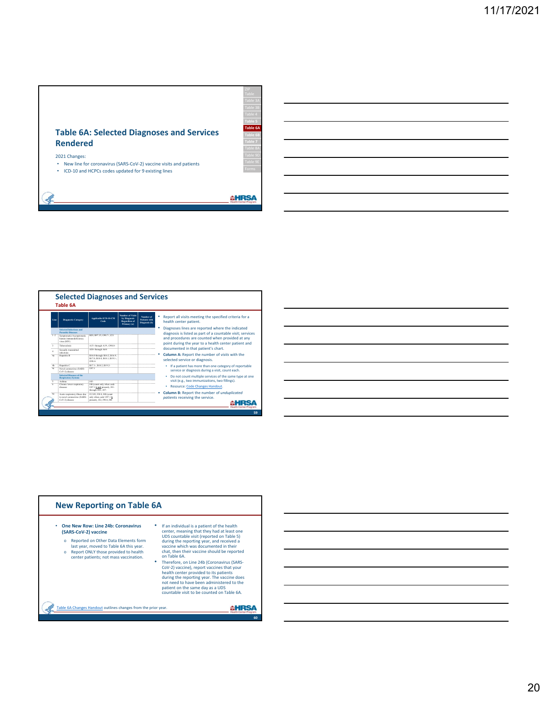

- New line for coronavirus (SARS‐CoV‐2) vaccine visits and patients
- ICD‐10 and HCPCs codes updated for 9 existing lines

**AHRSA** 

**Table 5 Table 6A Table 6B Table 7**





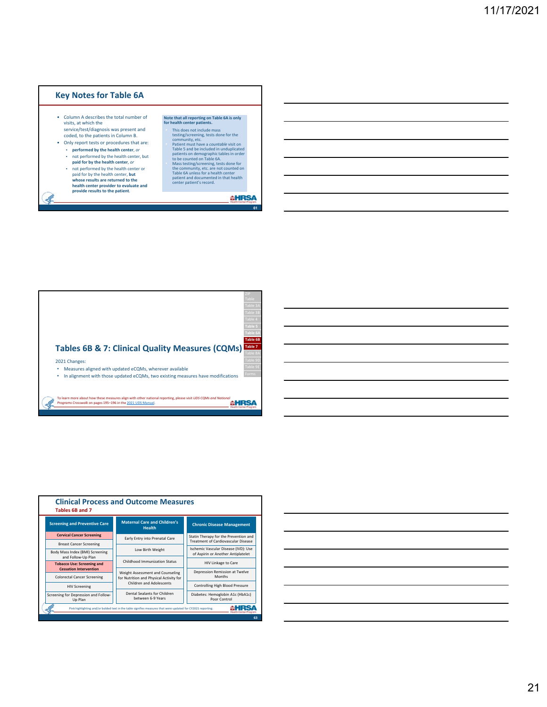### **Key Notes for Table 6A**

- Column A describes the total number of visits, at which the service/test/diagnosis was present and
- coded, to the patients in Column B. • Only report tests or procedures that are:
	- **performed by the health center**, *or* ▪ not performed by the health center, but
	- **paid for by the health center**, *or*
	- not performed by the health center or paid for by the health center, **but whose results are returned to the health center provider to evaluate and provide results to the patient**.

### **Note that all reporting on Table 6A is only for health center patients.**

- 
- This does not include mass<br>testing/screening, tests done for the<br>community, etc.<br>Patient must have a *countable* visit on<br>Table 5 and be included in unduplicated<br>patients on demographic tables in order<br>to be counted on Tab
- 

### **AHRSA**

**61**

**Tables 6B & 7: Clinical Quality Measures (CQMs)** 2021 Changes: • Measures aligned with updated eCQMs, wherever available • In alignment with those updated eCQMs, two existing measures have modifications To learn more about how these measures align with other national reporting, please visit *UDS CQMs and National Programs Crosswalk* on pages 195–196 in the 2021 UDS Manual. **Table 6A Table 6B Table 7**



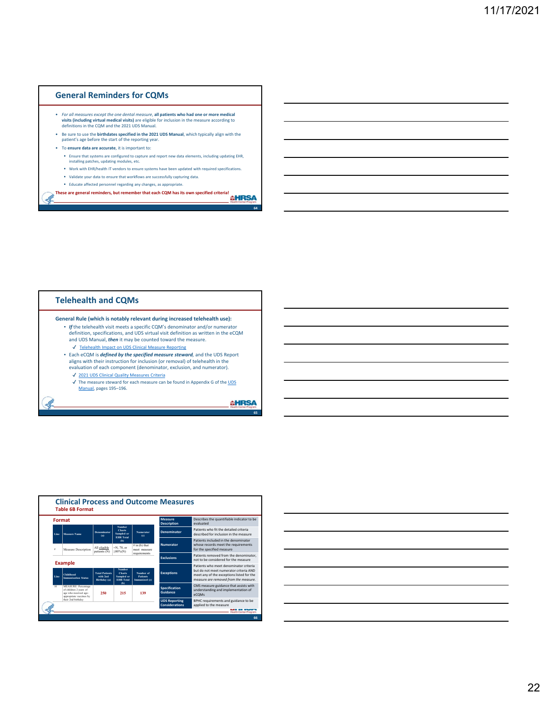### **General Reminders for CQMs**

- For all measures except the one dental measure, all patients who had one or more medical<br>visits (including virtual medical visits) are eligible for inclusion in the measure according to<br>definitions in the CQM and the 202
- Be sure to use the **birthdates specified in the 2021 UDS Manual**, which typically align with the patient's age before the start of the reporting year.
- To **ensure data are accurate**, it is important to:
	- Ensure that systems are configured to capture and report new data elements, including updating EHR, installing patches, updating modules, etc.
	- Work with EHR/health IT vendors to ensure systems have been updated with required specifications.
	- Validate your data to ensure that workflows are successfully capturing data.
	- Educate affected personnel regarding any changes, as appropriate.
- **These are general reminders, but remember that each CQM has its own specified criteria!**

### **Telehealth and CQMs**

Ŀ

**General Rule (which is notably relevant during increased telehealth use):**

- *If* the telehealth visit meets a specific CQM's denominator and/or numerator definition, specifications, and UDS virtual visit definition as written in the eCQM and UDS Manual, *then* it may be counted toward the measure. ✔ Telehealth Impact on UDS Clinical Measure Reporting
	-
- Each eCQM is *defined by the specified measure steward,* and the UDS Report aligns with their instruction for inclusion (or removal) of telehealth in the evaluation of each component (denominator, exclusion, and numerator).
	- ✔ 2021 UDS Clinical Quality Measures Criteria
	- ✔ The measure steward for each measure can be found in Appendix G of the UDS Manual, pages 195–196.

**AHRSA** 

**65**



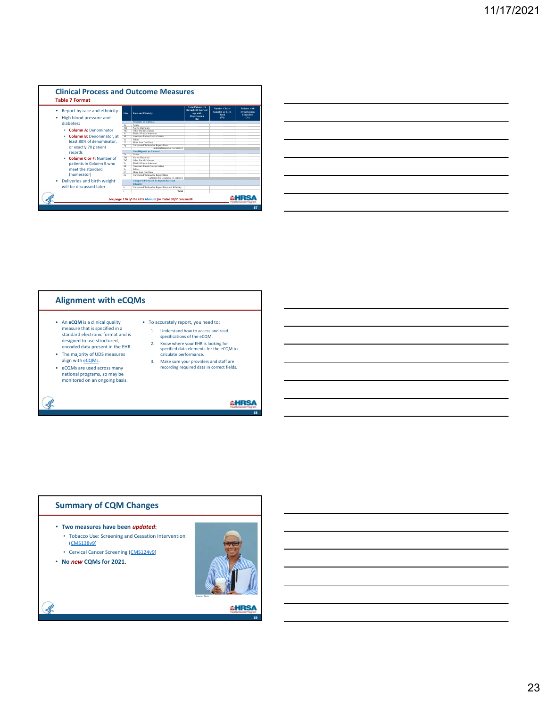

|                                                                                                                      |  | ________ |
|----------------------------------------------------------------------------------------------------------------------|--|----------|
|                                                                                                                      |  |          |
|                                                                                                                      |  |          |
| <u> 1989 - Andrea Santa Andrea Andrea Andrea Andrea Andrea Andrea Andrea Andrea Andrea Andrea Andrea Andrea Andr</u> |  |          |
|                                                                                                                      |  |          |
|                                                                                                                      |  |          |
|                                                                                                                      |  |          |
|                                                                                                                      |  |          |
|                                                                                                                      |  |          |
|                                                                                                                      |  |          |
|                                                                                                                      |  |          |
|                                                                                                                      |  |          |
|                                                                                                                      |  |          |



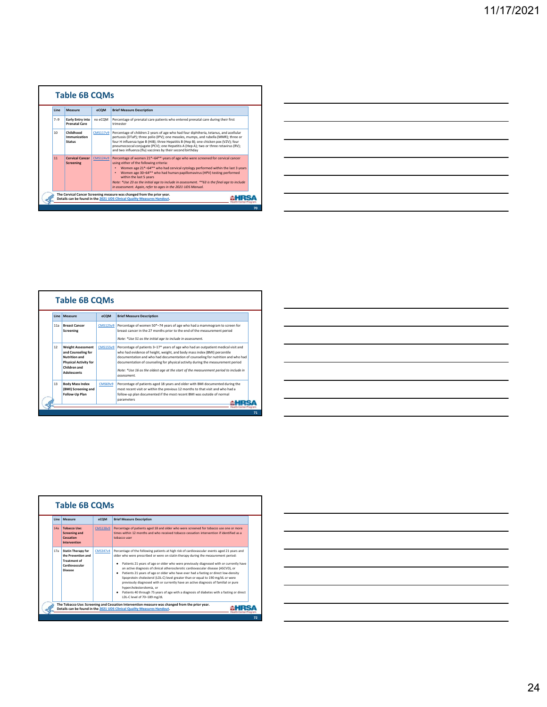

| <u> 1989 - Andrea Santa Andrea Andrea Andrea Andrea Andrea Andrea Andrea Andrea Andrea Andrea Andrea Andrea Andr</u>                                                 |  |                                     |
|----------------------------------------------------------------------------------------------------------------------------------------------------------------------|--|-------------------------------------|
|                                                                                                                                                                      |  |                                     |
|                                                                                                                                                                      |  |                                     |
|                                                                                                                                                                      |  | the contract of the contract of the |
|                                                                                                                                                                      |  |                                     |
|                                                                                                                                                                      |  |                                     |
|                                                                                                                                                                      |  |                                     |
|                                                                                                                                                                      |  |                                     |
| ,我们也不会有什么?""我们的人,我们也不会有什么?""我们的人,我们也不会有什么?""我们的人,我们也不会有什么?""我们的人,我们也不会有什么?""我们的人                                                                                     |  |                                     |
|                                                                                                                                                                      |  |                                     |
|                                                                                                                                                                      |  |                                     |
| ,我们的人们就会在这里,我们的人们就会在这里,我们的人们就会在这里,我们的人们就会在这里,我们的人们就会在这里,我们的人们就会在这里,我们的人们就会在这里,我们<br>第151章 我们的人们的人们,我们的人们的人们的人们,我们的人们的人们的人们的人们的人们,我们的人们的人们的人们,我们的人们的人们的人们,我们的人们的人们的人们 |  |                                     |
|                                                                                                                                                                      |  |                                     |
|                                                                                                                                                                      |  |                                     |
|                                                                                                                                                                      |  |                                     |
|                                                                                                                                                                      |  |                                     |
| <u> 1989 - Johann Stoff, deutscher Stoff, der Stoff, der Stoff, der Stoff, der Stoff, der Stoff, der Stoff, der S</u>                                                |  |                                     |

|     | <b>Table 6B CQMs</b>                                                                                                                  |                 |                                                                                                                                                                                                                                                                                                                                                                                                                                            |
|-----|---------------------------------------------------------------------------------------------------------------------------------------|-----------------|--------------------------------------------------------------------------------------------------------------------------------------------------------------------------------------------------------------------------------------------------------------------------------------------------------------------------------------------------------------------------------------------------------------------------------------------|
|     | Line Measure                                                                                                                          | eCOM            | <b>Brief Measure Description</b>                                                                                                                                                                                                                                                                                                                                                                                                           |
| 11a | <b>Breast Cancer</b><br>Screening                                                                                                     | <b>CMS125v9</b> | Percentage of women 50*-74 years of age who had a mammogram to screen for<br>breast cancer in the 27 months prior to the end of the measurement period<br>Note: *Use 51 as the initial age to include in assessment.                                                                                                                                                                                                                       |
| 12  | <b>Weight Assessment</b><br>and Counseling for<br>Nutrition and<br><b>Physical Activity for</b><br>Children and<br><b>Adolescents</b> | <b>CMS155v9</b> | Percentage of patients 3-17* years of age who had an outpatient medical visit and<br>who had evidence of height, weight, and body mass index (BMI) percentile<br>documentation and who had documentation of counseling for nutrition and who had<br>documentation of counseling for physical activity during the measurement period<br>Note: *Use 16 as the oldest age at the start of the measurement period to include in<br>assessment. |
| 13  | <b>Body Mass Index</b><br>(BMI) Screening and<br>Follow-Up Plan                                                                       | <b>CMS69v9</b>  | Percentage of patients aged 18 years and older with BMI documented during the<br>most recent visit or within the previous 12 months to that visit and who had a<br>follow-up plan documented if the most recent BMI was outside of normal<br>parameters                                                                                                                                                                                    |



| Line | Measure                                                                                             | eCOM            | <b>Brief Measure Description</b>                                                                                                                                                                                                                                                                                                                                                                                                                                                                                                                                                                                                                                                                                                                                                                            |
|------|-----------------------------------------------------------------------------------------------------|-----------------|-------------------------------------------------------------------------------------------------------------------------------------------------------------------------------------------------------------------------------------------------------------------------------------------------------------------------------------------------------------------------------------------------------------------------------------------------------------------------------------------------------------------------------------------------------------------------------------------------------------------------------------------------------------------------------------------------------------------------------------------------------------------------------------------------------------|
| 14a  | <b>Tobacco Use:</b><br><b>Screening and</b><br>Cessation<br><b>Intervention</b>                     | <b>CMS138v9</b> | Percentage of patients aged 18 and older who were screened for tobacco use one or more<br>times within 12 months and who received tobacco cessation intervention if identified as a<br>tobacco user                                                                                                                                                                                                                                                                                                                                                                                                                                                                                                                                                                                                         |
| 17a  | <b>Statin Therapy for</b><br>the Prevention and<br><b>Treatment of</b><br>Cardiovascular<br>Disease | <b>CMS347v4</b> | Percentage of the following patients at high risk of cardiovascular events aged 21 years and<br>older who were prescribed or were on statin therapy during the measurement period:<br>Patients 21 years of age or older who were previously diagnosed with or currently have<br>٠<br>an active diagnosis of clinical atherosclerotic cardiovascular disease (ASCVD), or<br>Patients 21 years of age or older who have ever had a fasting or direct low-density<br>٠<br>lipoprotein cholesterol (LDL-C) level greater than or equal to 190 mg/dL or were<br>previously diagnosed with or currently have an active diagnosis of familial or pure<br>hvpercholesterolemia, or<br>Patients 40 through 75 years of age with a diagnosis of diabetes with a fasting or direct<br>٠<br>LDL-C level of 70-189 mg/dL |

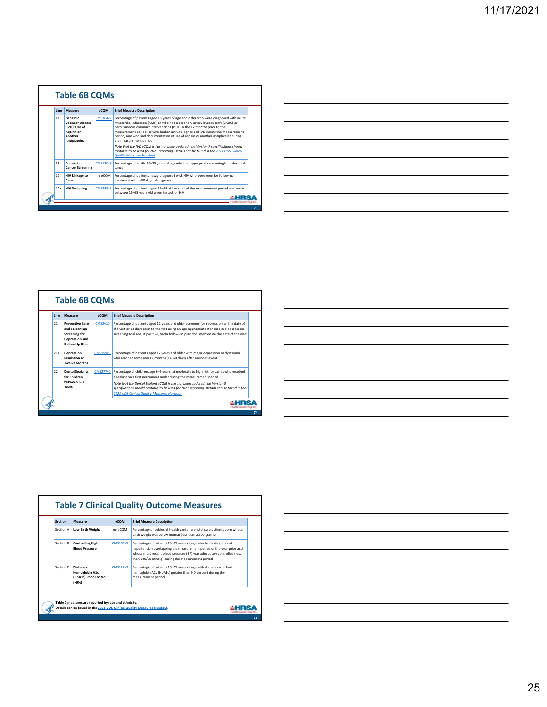

| <u> Alexandro de la contrada de la contrada de la contrada de la contrada de la contrada de la contrada de la co</u>    |  |                          |
|-------------------------------------------------------------------------------------------------------------------------|--|--------------------------|
|                                                                                                                         |  |                          |
|                                                                                                                         |  |                          |
|                                                                                                                         |  |                          |
| <u> 1989 - Johann Harry Harry Harry Harry Harry Harry Harry Harry Harry Harry Harry Harry Harry Harry Harry Harry H</u> |  |                          |
|                                                                                                                         |  |                          |
|                                                                                                                         |  |                          |
|                                                                                                                         |  |                          |
|                                                                                                                         |  |                          |
| <u> 1989 - Johann John Stone, markin sanadi amerikan bahasa dalam pengaran sebagai pengaran sebagai pengaran seba</u>   |  | $\overline{\phantom{a}}$ |
|                                                                                                                         |  |                          |
|                                                                                                                         |  |                          |
|                                                                                                                         |  |                          |
| <u> Alexandro de la contrada de la contrada de la contrada de la contrada de la contrada de la contrada de la co</u>    |  | ______                   |
|                                                                                                                         |  |                          |
|                                                                                                                         |  |                          |
|                                                                                                                         |  |                          |
|                                                                                                                         |  |                          |
| <u> 1989 - Johann Harry Harry Harry Harry Harry Harry Harry Harry Harry Harry Harry Harry Harry Harry Harry Harry</u>   |  |                          |
|                                                                                                                         |  |                          |
|                                                                                                                         |  |                          |
|                                                                                                                         |  |                          |
| the control of the control of the control of the control of the control of                                              |  |                          |
|                                                                                                                         |  |                          |

 $\overline{\phantom{0}}$ 

| Line | Measure                                                                                                     | eCOM            | <b>Brief Measure Description</b>                                                                                                                                                                                                                                               |
|------|-------------------------------------------------------------------------------------------------------------|-----------------|--------------------------------------------------------------------------------------------------------------------------------------------------------------------------------------------------------------------------------------------------------------------------------|
| 21   | <b>Preventive Care</b><br>and Screening:<br><b>Screening for</b><br><b>Depression and</b><br>Follow-Up Plan | <b>CMS2v10</b>  | Percentage of patients aged 12 years and older screened for depression on the date of<br>the visit or 14 days prior to the visit using an age-appropriate standardized depression<br>screening tool and, if positive, had a follow-up plan documented on the date of the visit |
| 21a  | <b>Depression</b><br><b>Remission at</b><br><b>Twelve Months</b>                                            | <b>CMS159v9</b> | Percentage of patients aged 12 years and older with major depression or dysthymia<br>who reached remission 12 months (+/- 60 days) after an index event                                                                                                                        |
| 22   | <b>Dental Sealants</b><br>for Children<br>between 6-9                                                       | <b>CMS277v0</b> | Percentage of children, age 6-9 years, at moderate to high risk for caries who received<br>a sealant on a first permanent molar during the measurement period                                                                                                                  |
|      | Years                                                                                                       |                 | Note that the Dental Sealant eCOM is has not been updated: the Version 0<br>specifications should continue to be used for 2021 reporting. Details can be found in the<br><b>2021 UDS Clinical Quality Measures Handout.</b>                                                    |

| the control of the control of the                                                                                                  |
|------------------------------------------------------------------------------------------------------------------------------------|
|                                                                                                                                    |
|                                                                                                                                    |
| _____                                                                                                                              |
|                                                                                                                                    |
| ___                                                                                                                                |
|                                                                                                                                    |
| <u> London a la componenta del componente del componente del componente del componente del componente del componente del compo</u> |
|                                                                                                                                    |
|                                                                                                                                    |
| and the contract of the contract of the contract of the contract of the contract of the contract of the contract of<br>_____       |
|                                                                                                                                    |
|                                                                                                                                    |
|                                                                                                                                    |
|                                                                                                                                    |
|                                                                                                                                    |

| Section   | Measure                                                                              | eCOM            | <b>Brief Measure Description</b>                                                                                                                                                                                                                                      |
|-----------|--------------------------------------------------------------------------------------|-----------------|-----------------------------------------------------------------------------------------------------------------------------------------------------------------------------------------------------------------------------------------------------------------------|
| Section A | <b>Low Birth Weight</b>                                                              | no eCOM         | Percentage of babies of health center prenatal care patients born whose<br>birth weight was below normal (less than 2.500 grams)                                                                                                                                      |
| Section B | <b>Controlling High</b><br><b>Blood Pressure</b>                                     | <b>CMS165v9</b> | Percentage of patients 18-85 years of age who had a diagnosis of<br>hypertension overlapping the measurement period or the year prior and<br>whose most recent blood pressure (BP) was adequately controlled (less<br>than 140/90 mmHg) during the measurement period |
| Section C | Diahotos <sup>.</sup><br><b>Hemoglobin A1c</b><br>(HbA1c) Poor Control<br>$( > 9\%)$ | <b>CMS122v9</b> | Percentage of patients 18-75 years of age with diabetes who had<br>hemoglobin A1c (HbA1c) greater than 9.0 percent during the<br>measurement period                                                                                                                   |

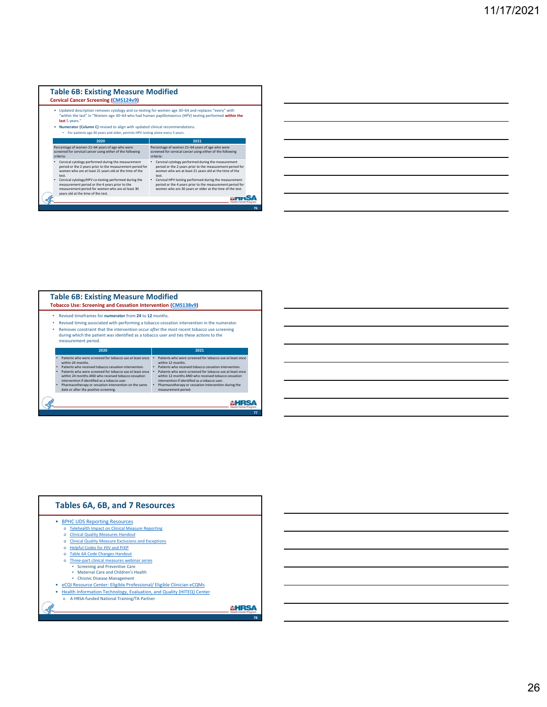### **Table 6B: Existing Measure Modified Cervical Cancer Screening (CMS124v9)**



| the contract of the contract of the contract of the contract of the contract of the contract of the contract of |  |  |
|-----------------------------------------------------------------------------------------------------------------|--|--|
|                                                                                                                 |  |  |
|                                                                                                                 |  |  |
|                                                                                                                 |  |  |
|                                                                                                                 |  |  |
|                                                                                                                 |  |  |
|                                                                                                                 |  |  |
|                                                                                                                 |  |  |
|                                                                                                                 |  |  |
|                                                                                                                 |  |  |
|                                                                                                                 |  |  |
|                                                                                                                 |  |  |
|                                                                                                                 |  |  |
|                                                                                                                 |  |  |
|                                                                                                                 |  |  |
|                                                                                                                 |  |  |

| ٠<br>٠ | Revised timeframes for numerator from 24 to 12 months.<br>Revised timing associated with performing a tobacco cessation intervention in the numerator.<br>Removes constraint that the intervention occur after the most recent tobacco use screening<br>during which the patient was identified as a tobacco user and ties these actions to the<br>measurement period. |                                                                                                                                                                                                                                                                                                               |
|--------|------------------------------------------------------------------------------------------------------------------------------------------------------------------------------------------------------------------------------------------------------------------------------------------------------------------------------------------------------------------------|---------------------------------------------------------------------------------------------------------------------------------------------------------------------------------------------------------------------------------------------------------------------------------------------------------------|
|        | 2020                                                                                                                                                                                                                                                                                                                                                                   | 2021                                                                                                                                                                                                                                                                                                          |
| ٠      | Patients who were screened for tobaccouse at least once<br>within 24 months.<br>Patients who received tobacco cessation intervention.<br>Patients who were screened for tobaccouse at least once<br>within 24 months AND who received tobacco cessation<br>intervention if identified as a tobacco user.                                                               | Patients who were screened for tobaccouse at least once<br>within 12 months.<br>Patients who received tobacco cessation intervention.<br>Patients who were screened for tobaccouse at least once<br>٠<br>within 12 months AND who received tobacco cessation<br>intervention if identified as a tobacco user. |

**77**

| Tables 6A, 6B, and 7 Resources                                                                                                                                                                                                                                                                                                                                                                                                                                                                                                                                                                                                                                                           |  |
|------------------------------------------------------------------------------------------------------------------------------------------------------------------------------------------------------------------------------------------------------------------------------------------------------------------------------------------------------------------------------------------------------------------------------------------------------------------------------------------------------------------------------------------------------------------------------------------------------------------------------------------------------------------------------------------|--|
| <b>BPHC UDS Reporting Resources</b><br><b>Telehealth Impact on Clinical Measure Reporting</b><br><b>Clinical Quality Measures Handout</b><br>$\sim$<br><b>Clinical Quality Measure Exclusions and Exceptions</b><br>$\sim$<br><b>Helpful Codes for HIV and PrEP</b><br><b>Table 6A Code Changes Handout</b><br>Three-part clinical measures webinar series<br><b>Screening and Preventive Care</b><br>Maternal Care and Children's Health<br><b>Chronic Disease Management</b><br>٠<br>eCQI Resource Center: Eligible Professional/ Eligible Clinician eCQMs<br>Health Information Technology, Evaluation, and Quality (HITEQ) Center<br>A HRSA-funded National Training/TA Partner<br>ö |  |
|                                                                                                                                                                                                                                                                                                                                                                                                                                                                                                                                                                                                                                                                                          |  |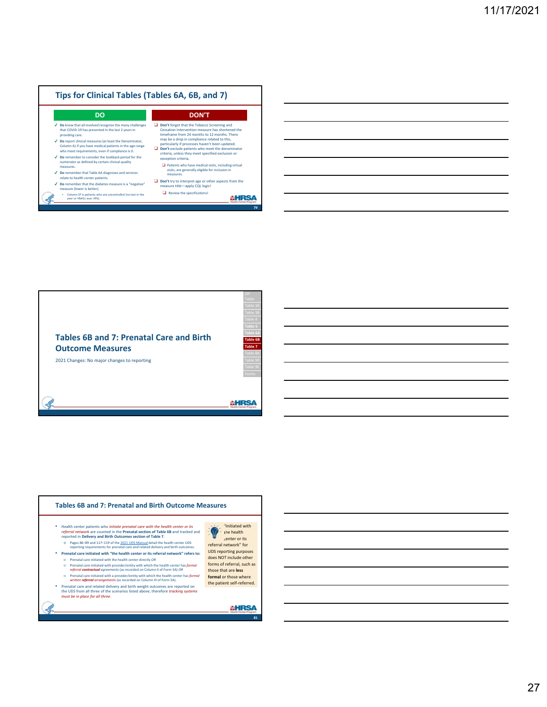

| <u> 1989 - Johann Barn, mars ann an t-Amhainn an t-Amhainn an t-Amhainn an t-Amhainn an t-Amhainn an t-Amhainn an </u> |  |  |
|------------------------------------------------------------------------------------------------------------------------|--|--|
| <u> 1999 - Jan Samuel Barbara, margaret eta biztanleria (h. 1989).</u>                                                 |  |  |
| <u> 1989 - Johann Stoff, amerikansk politiker (* 1908)</u>                                                             |  |  |
| <u> 1989 - Johann Barn, mars and de Brasilian (b. 1989)</u>                                                            |  |  |
| <u> 1989 - Johann Harry Harry Harry Harry Harry Harry Harry Harry Harry Harry Harry Harry Harry Harry Harry Harry</u>  |  |  |
|                                                                                                                        |  |  |

 $\overline{a}$ 

 $\overline{\phantom{0}}$ 



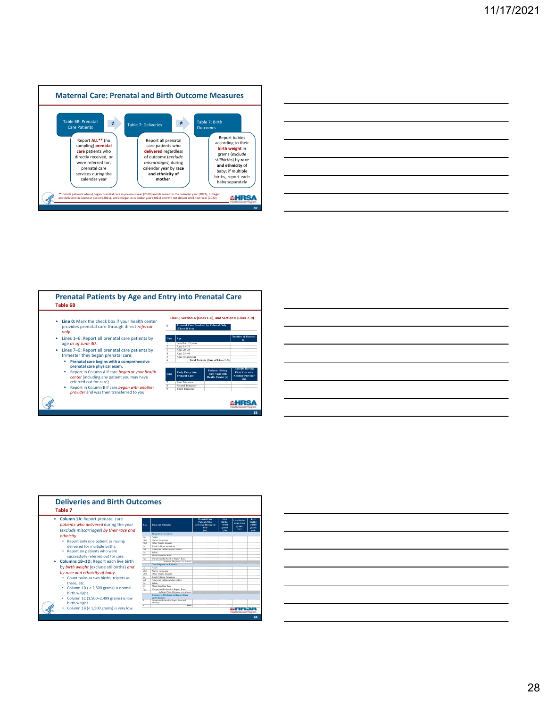

| __ |  | _______ |
|----|--|---------|
|    |  |         |
|    |  |         |
|    |  |         |
|    |  |         |



**Table 7**

*ethnicity*.

three, etc.

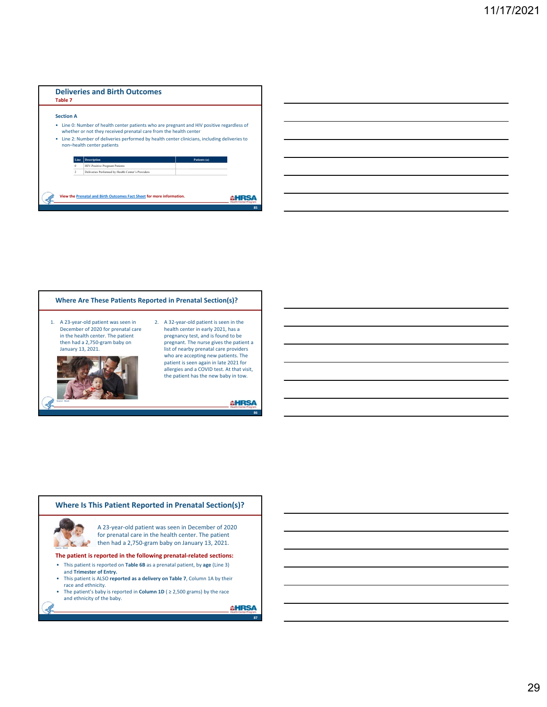





The patient's baby is reported in **Column 1D** ( $\geq$  2,500 grams) by the race and ethnicity of the baby.

**AHRSA**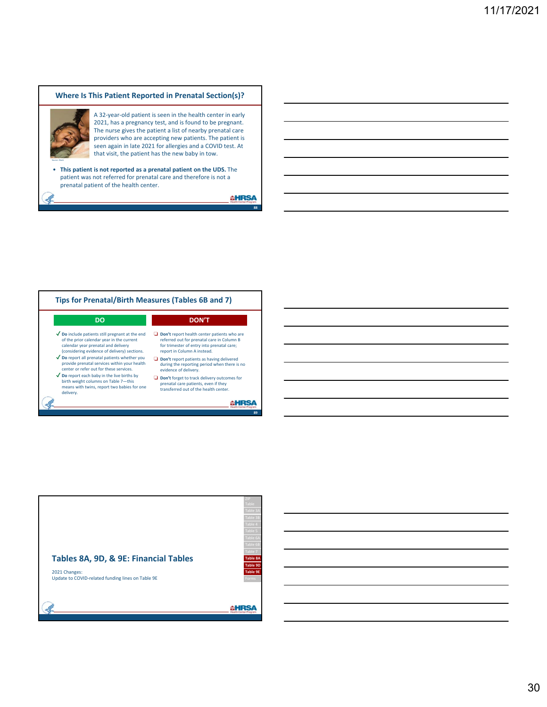### **Where Is This Patient Reported in Prenatal Section(s)?**



Source: iStock

A 32‐year‐old patient is seen in the health center in early 2021, has a pregnancy test, and is found to be pregnant. The nurse gives the patient a list of nearby prenatal care providers who are accepting new patients. The patient is seen again in late 2021 for allergies and a COVID test. At that visit, the patient has the new baby in tow.

• **This patient is not reported as a prenatal patient on the UDS.** The patient was not referred for prenatal care and therefore is not a prenatal patient of the health center.

**AHRSA** 



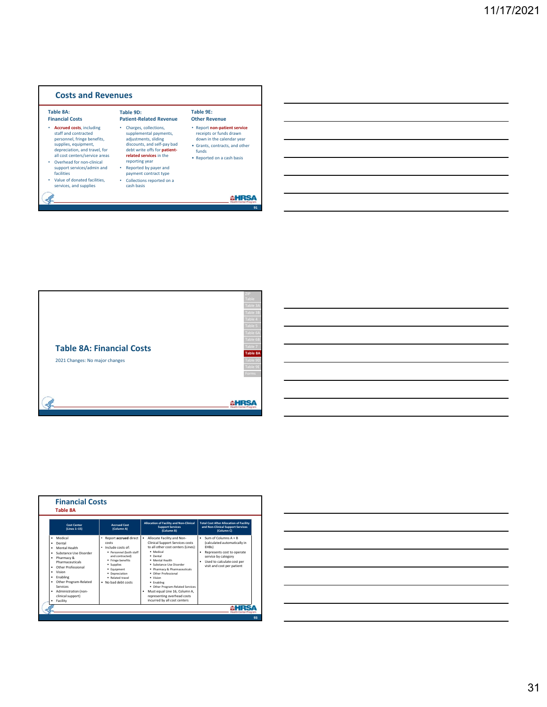





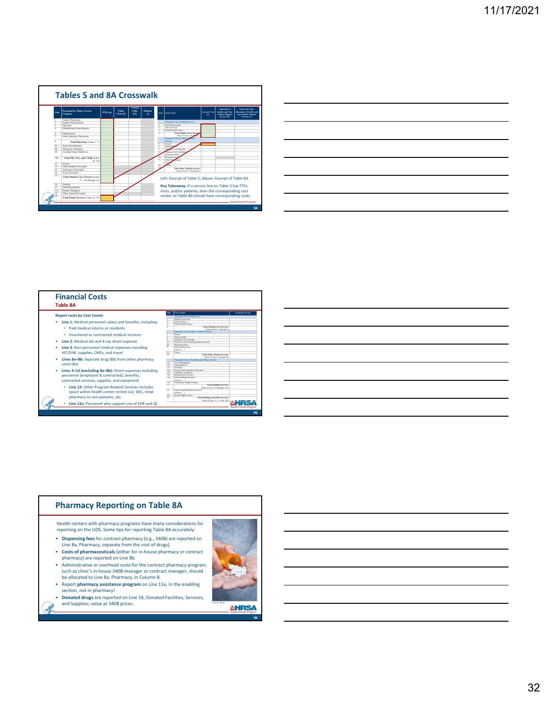

|                                                                            | the contract of the con-          |  |
|----------------------------------------------------------------------------|-----------------------------------|--|
|                                                                            |                                   |  |
|                                                                            |                                   |  |
|                                                                            |                                   |  |
| <u> 1989 - Andrea Andrew Maria (h. 1989).</u>                              |                                   |  |
|                                                                            |                                   |  |
|                                                                            | and the control of the control of |  |
|                                                                            |                                   |  |
|                                                                            |                                   |  |
|                                                                            |                                   |  |
|                                                                            |                                   |  |
|                                                                            |                                   |  |
| the control of the control of the control of the control of the control of |                                   |  |
|                                                                            |                                   |  |

| <b>Financial Costs</b><br>Table 8A                        |                               |                                                             |                  |
|-----------------------------------------------------------|-------------------------------|-------------------------------------------------------------|------------------|
|                                                           | Line.                         | Cost Center                                                 | Accrued Cost (a) |
| <b>Report costs by Cost Center</b>                        |                               | Financial Costs of Medical Care                             |                  |
|                                                           |                               | <b>Motival Personnel</b>                                    |                  |
| Line 1: Medical personnel salary and benefits, including: |                               | Lab and X-ray                                               |                  |
|                                                           |                               | Motival/Other Direct<br><b>Total Medical Care Services</b>  |                  |
| Paid medical interns or residents<br>٠                    |                               | (Sum of Lines 1 through 3)                                  |                  |
|                                                           |                               | Financial Costs of Other Clinical Services                  |                  |
| Vouchered or contracted medical services<br>٠             |                               | Devest                                                      |                  |
|                                                           |                               | Montal Health                                               |                  |
| Line 2: Medical lab and X-ray direct expense<br>٠         |                               | Substance Live Discorder                                    |                  |
|                                                           | $\overline{\mathbf{x}}$<br>w. | Pharmacy (not including pharmaceuticals)<br>Pharmacouticals |                  |
| ٠                                                         | w                             | Other Pasfeutegal                                           |                  |
| Line 3: Non-personnel medical expenses including          |                               | (specify )                                                  |                  |
| HIT/EHR, supplies, CMEs, and travel                       | $Q_{\rm B}$                   | Vision                                                      |                  |
|                                                           | 10                            | <b>Tatal Other Clinical Services</b>                        |                  |
| Lines 8a-8b: Separate drug (8b) from other pharmacy<br>٠  |                               | (Sun of Lines 5 through 9a)                                 |                  |
|                                                           |                               | Financial Costs of Emplitus and Other Services              |                  |
| costs (8a)                                                | 114<br>115                    | Case Management<br>Transportation                           |                  |
|                                                           | 114                           | <b>Customerly</b>                                           |                  |
| Lines 5-13 (excluding 8a-8b): Direct expenses including   | 114                           | Patient and Community Education                             |                  |
|                                                           | 114                           | Elizability Assistance                                      |                  |
| personnel (employed & contracted), benefits,              | 116                           | Interretation Services                                      |                  |
| contracted services, supplies, and equipment              | 11a                           | Other Enabling Services<br>(specify )                       |                  |
|                                                           | 11h                           | Companity Health Workers                                    |                  |
|                                                           | m                             | <b>Total Enabline Services</b>                              |                  |
| Line 12: Other Program-Related Services includes<br>٠     |                               | (Sum of Lines 11a through 11h)                              |                  |
| space within health center rented out, WIC, retail        | 12                            | Other Program-Related Services                              |                  |
|                                                           | 12a                           | (specify )<br>Ouality Improvement                           |                  |
| pharmacy to non-patients, etc.                            | $\mathbf{R}$                  | <b>Total Enabline and Other Services</b>                    |                  |
|                                                           |                               | (Sun of Lines 11, 12, and 12a)                              |                  |
| Line 12a: Personnel who support use of EHR and QI<br>٠    |                               |                                                             |                  |
|                                                           |                               |                                                             |                  |

### **Pharmacy Reporting on Table 8A**

Health centers with pharmacy programs have many considerations for reporting on the UDS. Some tips for reporting Table 8A accurately:

- **Dispensing fees** for contract pharmacy (e.g., 340B) are reported on Line 8a, Pharmacy, separate from the cost of drugs).
- **Costs of pharmaceuticals** (either for in‐house pharmacy or contract pharmacy) are reported on Line 8b.
- Administrative or overhead costs for the contract pharmacy program, such as clinic's in‐house 340B manager or contract manager, should be allocated to Line 8a, Pharmacy, in Column B.
- Report **pharmacy assistance program** on Line 11e, in the enabling section, not in pharmacy!
- **Donated drugs** are reported on Line 18, Donated Facilities, Services, **Supplier State Condense 2014**

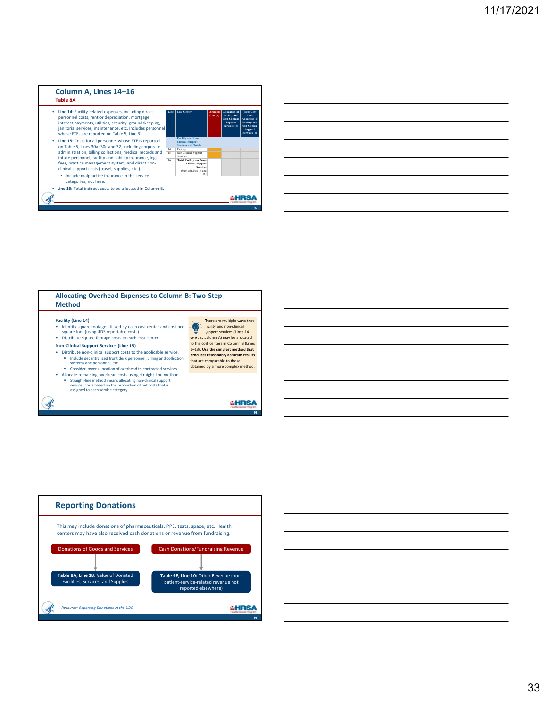

#### **Allocating Overhead Expenses to Column B: Two‐Step Method Facility (Line 14)** • Identify square footage utilized by each cost center and cost per square foot (using UDS reportable costs). • Distribute square footage costs to each cost center. There are multiple ways that

**Non‐Clinical Support Services (Line 15)**

 $\mathcal{A}$ 

- Distribute non‐clinical support costs to the applicable service. Include decentralized front desk personnel, billing and collection systems and personnel, etc. Consider lower allocation of overhead to contracted services.
- Allocate remaining overhead costs using straight‐line method.
	- Straight-line method means allocating non-clinical support services costs based on the proportion of net costs that is assigned to each service category.



**AHRSA** 



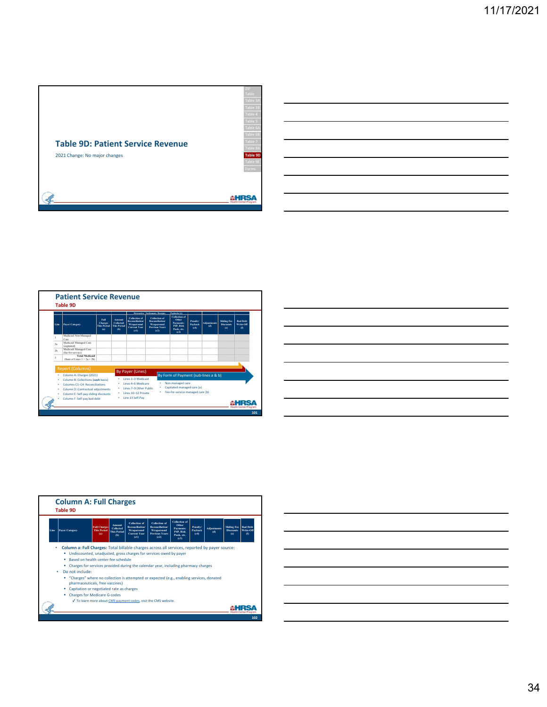

|                         |                                                                      |                                                     |                                                  |                                                                                            | Retroactive Settlements, Receipts.                                                            | Paybacio (c)                                                                  |                             |                           |                                               |                                          |
|-------------------------|----------------------------------------------------------------------|-----------------------------------------------------|--------------------------------------------------|--------------------------------------------------------------------------------------------|-----------------------------------------------------------------------------------------------|-------------------------------------------------------------------------------|-----------------------------|---------------------------|-----------------------------------------------|------------------------------------------|
| Line                    | <b>Paver Caterory</b>                                                | Foll<br><b>Charges</b><br><b>This Period</b><br>(a) | Amount<br>Collected<br><b>This Period</b><br>(b) | <b>Collection of</b><br><b>Reconcilistion</b><br>Wraparound<br><b>Current Year</b><br>(61) | <b>Collection of</b><br><b>Reconciliation!</b><br>Wraparound<br><b>Previous Years</b><br>(c2) | <b>Collection of</b><br>Other<br>Payments:<br>P4P, Risk<br>Pools etc.<br>(63) | Penalty/<br>Payback<br>(64) | <b>Adiustments</b><br>(d) | <b>Sliding Fee</b><br><b>Discounts</b><br>(e) | <b>Red Debt</b><br>Write-Off<br>$\Omega$ |
|                         | Medicaid Non-Managed<br>Care                                         |                                                     |                                                  |                                                                                            |                                                                                               |                                                                               |                             |                           |                                               |                                          |
| 2a                      | Medicaid Managed Care<br>(capitated)                                 |                                                     |                                                  |                                                                                            |                                                                                               |                                                                               |                             |                           |                                               |                                          |
| 2 <sub>b</sub>          | Medicaid Managed Care<br>(fee-for-service)                           |                                                     |                                                  |                                                                                            |                                                                                               |                                                                               |                             |                           |                                               |                                          |
| $\overline{\mathbf{3}}$ | <b>Total Medicaid</b><br>(Sum of Lines $1 + 2a + 2b$ )               |                                                     |                                                  |                                                                                            |                                                                                               |                                                                               |                             |                           |                                               |                                          |
|                         |                                                                      |                                                     |                                                  |                                                                                            |                                                                                               |                                                                               |                             |                           |                                               |                                          |
|                         | <b>Report (Columns)</b>                                              |                                                     |                                                  | <b>By Payer (Lines)</b>                                                                    |                                                                                               |                                                                               |                             |                           |                                               |                                          |
|                         | Column A: Charges (2021)                                             |                                                     |                                                  | Lines 1-3 Medicald                                                                         |                                                                                               | By Form of Payment (sub-lines a & b)                                          |                             |                           |                                               |                                          |
|                         | Column B: Collections (cash basis)<br>Columns C1-C4: Reconciliations |                                                     |                                                  | Lines 4-6 Medicare                                                                         |                                                                                               | Non-managed care                                                              |                             |                           |                                               |                                          |
|                         | Column D: Contractual adjustments                                    |                                                     |                                                  | Lines 7-9 Other Public                                                                     | ٠                                                                                             | Capitated managed care (a)                                                    |                             |                           |                                               |                                          |
|                         | Column E: Self-pay sliding discounts                                 |                                                     |                                                  | Lines 10-12 Private                                                                        |                                                                                               | Fee-for-service managed care (b)                                              |                             |                           |                                               |                                          |
|                         |                                                                      |                                                     |                                                  |                                                                                            |                                                                                               |                                                                               |                             |                           |                                               |                                          |

| <u> 1989 - Johann John Stein, markin sanadi samani samani samani samani samani samani samani samani samani samani</u> |  |                               |
|-----------------------------------------------------------------------------------------------------------------------|--|-------------------------------|
|                                                                                                                       |  |                               |
|                                                                                                                       |  |                               |
|                                                                                                                       |  |                               |
|                                                                                                                       |  | the control of the control of |
|                                                                                                                       |  |                               |
|                                                                                                                       |  |                               |
|                                                                                                                       |  |                               |
|                                                                                                                       |  |                               |
|                                                                                                                       |  |                               |



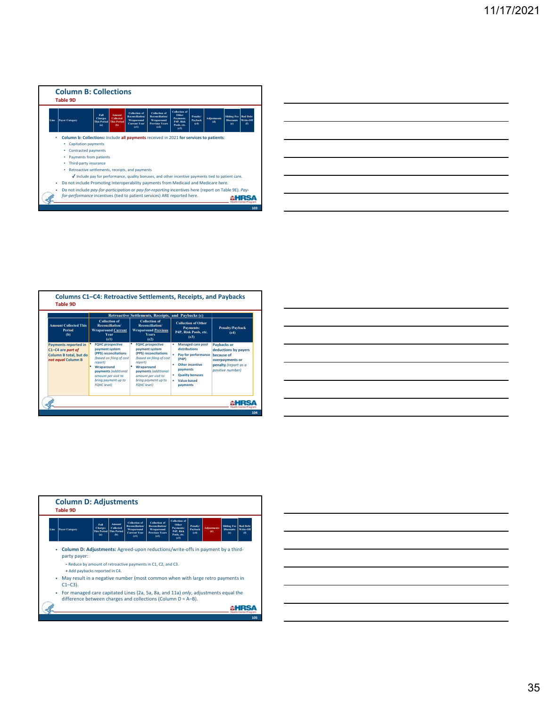

|                                                                                                                       |  | <u> Alexandro de la contrada de la contrada de la contrada de la contrada de la contrada de la contrada de la co</u>    |
|-----------------------------------------------------------------------------------------------------------------------|--|-------------------------------------------------------------------------------------------------------------------------|
|                                                                                                                       |  | <u> 1989 - Johann Harry Harry Harry Harry Harry Harry Harry Harry Harry Harry Harry Harry Harry Harry Harry Harry H</u> |
| <u> Alexandro de la contrada de la contrada de la contrada de la contrada de la contrada de la contrada de la co</u>  |  | and the control of the con-                                                                                             |
| <u> Alexandro de la contrada de la contrada de la contrada de la contrada de la contrada de la contrada de la con</u> |  |                                                                                                                         |
|                                                                                                                       |  |                                                                                                                         |

|                                                                                                  |                                                                                                                                                                                                                     | Retroactive Settlements, Receipts, and Paybacks (c)                                                                                                                                                                 |                                                                                                                                                               |                                                                                                                  |
|--------------------------------------------------------------------------------------------------|---------------------------------------------------------------------------------------------------------------------------------------------------------------------------------------------------------------------|---------------------------------------------------------------------------------------------------------------------------------------------------------------------------------------------------------------------|---------------------------------------------------------------------------------------------------------------------------------------------------------------|------------------------------------------------------------------------------------------------------------------|
| <b>Amount Collected This</b><br>Period<br>(b)                                                    | <b>Collection of</b><br>Reconciliation/<br><b>Wraparound Current</b><br><b>Year</b><br>(c1)                                                                                                                         | <b>Collection of</b><br>Reconciliation/<br><b>Wraparound Previous</b><br><b>Years</b><br>(c2)                                                                                                                       | <b>Collection of Other</b><br><b>Payments:</b><br>P4P, Risk Pools, etc.<br>(c3)                                                                               | Penalty/Payback<br>(c4)                                                                                          |
| <b>Payments reported in</b><br>C1-C4 are part of<br>Column B total, but do<br>not equal Column B | <b>FQHC</b> prospective<br>payment system<br>(PPS) reconciliations<br>(based on filing of cost<br>report)<br>Wraparound<br>payments (additional<br>amount per visit to<br>bring payment up to<br><b>FOHC</b> level) | <b>FQHC</b> prospective<br>payment system<br>(PPS) reconciliations<br>(based on filing of cost<br>report)<br>Wraparound<br>payments (additional<br>amount per visit to<br>bring payment up to<br><b>FOHC</b> level) | <b>Managed care pool</b><br>distributions<br>Pay for performance<br>(P4P)<br>Other incentive<br>payments<br><b>Quality bonuses</b><br>Value-based<br>payments | Paybacks or<br>deductions by payers<br>because of<br>overpayments or<br>penalty (report as a<br>positive number) |

| <u> 1989 - Andrea Andrew Maria (h. 1989).</u>                                                                         |  |  |
|-----------------------------------------------------------------------------------------------------------------------|--|--|
| <u> 1989 - Andrea Andrew Maria (h. 1989).</u>                                                                         |  |  |
| <u> 1989 - Andrea Andrew Maria (h. 1989).</u>                                                                         |  |  |
| <u> 1989 - Johann Barn, mars ann an t-Amhain ann an t-Amhain ann an t-Amhain ann an t-Amhain an t-Amhain an t-Amh</u> |  |  |
| <u> 1989 - Jan Samuel Barbara, margaret eta biztanleria (h. 1989).</u>                                                |  |  |
|                                                                                                                       |  |  |
| <u> 1989 - Jan Barbara (j. 1989)</u>                                                                                  |  |  |
|                                                                                                                       |  |  |

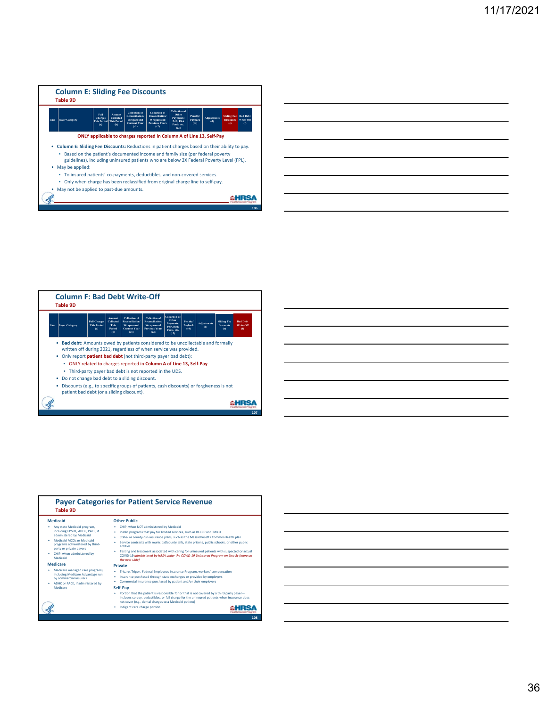



| Line | Payer Category                                                                                                                                                                                                          | <b>Full Charges</b><br><b>This Period</b><br>(a) | Amount<br>Collected<br><b>This</b><br>Period<br>(b) | <b>Collection</b> of<br><b>Reconciliation</b><br>Wraparound<br><b>Current Vear</b><br>(c1) | <b>Collection</b> of<br><b>Reconciliation</b><br>Wraparound<br><b>Previous Vears</b><br>(c2)                                     | <b>Collection</b> of<br>Other<br><b>Payments:</b><br>P4P, Risk<br>Pools, etc.<br>(c3) | Penalty/<br>Payback<br>(64) | <b>Adiustments</b><br>(d) | <b>Sliding Fee</b><br><b>Discounts</b><br>(c) | <b>Rad Debt</b><br>Write-Off<br>$\omega$ |
|------|-------------------------------------------------------------------------------------------------------------------------------------------------------------------------------------------------------------------------|--------------------------------------------------|-----------------------------------------------------|--------------------------------------------------------------------------------------------|----------------------------------------------------------------------------------------------------------------------------------|---------------------------------------------------------------------------------------|-----------------------------|---------------------------|-----------------------------------------------|------------------------------------------|
|      | Bad debt: Amounts owed by patients considered to be uncollectable and formally<br>written off during 2021, regardless of when service was provided.<br>. Only report patient bad debt (not third-party payer bad debt): |                                                  |                                                     |                                                                                            |                                                                                                                                  |                                                                                       |                             |                           |                                               |                                          |
|      |                                                                                                                                                                                                                         |                                                  |                                                     |                                                                                            | . ONLY related to charges reported in Column A of Line 13, Self-Pay.<br>. Third-party payer bad debt is not reported in the UDS. |                                                                                       |                             |                           |                                               |                                          |
|      | ۰                                                                                                                                                                                                                       |                                                  |                                                     | Do not change bad debt to a sliding discount.                                              |                                                                                                                                  |                                                                                       |                             |                           |                                               |                                          |
|      |                                                                                                                                                                                                                         |                                                  |                                                     |                                                                                            |                                                                                                                                  |                                                                                       |                             |                           |                                               |                                          |

| <b>Table 9D</b>                                                                                                                                                                                                                                    | <b>Payer Categories for Patient Service Revenue</b>                                                                                                                                                                                                                                                                                                                                                                                                                                                                                                                            |     |
|----------------------------------------------------------------------------------------------------------------------------------------------------------------------------------------------------------------------------------------------------|--------------------------------------------------------------------------------------------------------------------------------------------------------------------------------------------------------------------------------------------------------------------------------------------------------------------------------------------------------------------------------------------------------------------------------------------------------------------------------------------------------------------------------------------------------------------------------|-----|
| <b>Medicaid</b><br>Any state Medicaid program.<br>including EPSDT, ADHC, PACE, if<br>administered by Medicaid<br>Medicaid MCOs or Medicaid<br>programs administered by third-<br>party or private payers<br>CHIP, when administered by<br>Medicaid | <b>Other Public</b><br>CHIP, when NOT administered by Medicaid<br>Public programs that pay for limited services, such as BCCCP and Title X<br>State- or county-run insurance plans, such as the Massachusetts CommonHealth plan<br>٠<br>Service contracts with municipal/county jails, state prisons, public schools, or other public<br>٠<br>entities<br>Testing and treatment associated with caring for uninsured patients with suspected or actual<br>COVID-19 administered by HRSA under the COVID-19 Uninsured Program on Line 8c (more on                               |     |
| <b>Medicare</b><br>Medicare managed care programs.<br>including Medicare Advantage run<br>by commercial insurers<br>ADHC or PACE, if administered by<br>٠<br>Medicare                                                                              | the next slide)<br><b>Private</b><br>Tricare, Trigon, Federal Employees Insurance Program, workers' compensation<br>٠<br>Insurance purchased through state exchanges or provided by employers<br>٠<br>Commercial insurance purchased by patient and/or their employers<br>٠<br>Self-Pav<br>Portion that the patient is responsible for or that is not covered by a third-party payer-<br>includes co-pay, deductibles, or full charge for the uninsured patients when insurance does<br>not cover (e.g., dental charges to a Medicaid patient)<br>Indigent care charge portion |     |
|                                                                                                                                                                                                                                                    |                                                                                                                                                                                                                                                                                                                                                                                                                                                                                                                                                                                | 108 |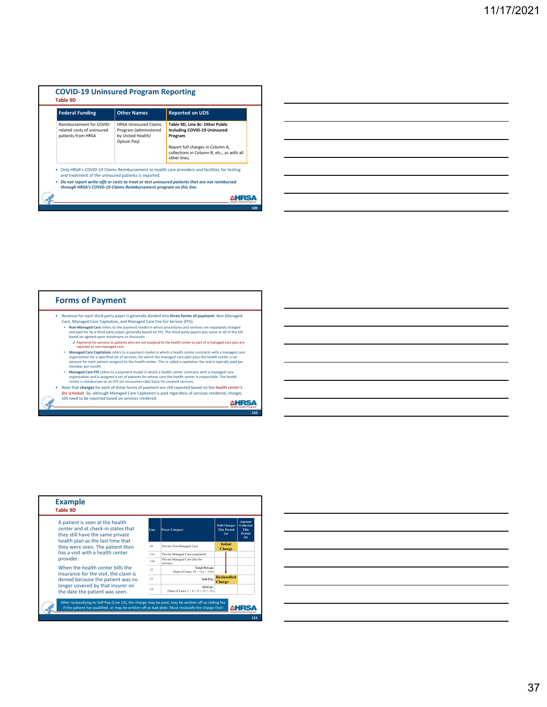| <b>Federal Funding</b>                                                       | <b>Other Names</b>                                                                       | <b>Reported on UDS</b>                                                                         |
|------------------------------------------------------------------------------|------------------------------------------------------------------------------------------|------------------------------------------------------------------------------------------------|
| Reimbursement for COVID-<br>related costs of uninsured<br>patients from HRSA | <b>HRSA Uninsured Claims</b><br>Program (administered<br>by United Health/<br>Optum Pay) | Table 9D, Line 8c: Other Public<br>Including COVID-19 Uninsured<br>Program                     |
|                                                                              |                                                                                          | Report full charges in Column A,<br>collections in Column B, etc., as with all<br>other lines. |
| and treatment of the uninsured patients is reported.                         |                                                                                          | Only HRSA's COVID-19 Claims Reimbursement to health care providers and facilities for testing  |
| through HRSA's COVID-19 Claims Reimbursement program on this line.           |                                                                                          | Do not report write-offs or costs to treat or test uninsured patients that are not reimbursed  |

| <u> 1989 - Johann Barn, mars ann an t-Amhainn an t-Amhainn an t-Amhainn an t-Amhainn an t-Amhainn an t-Amhainn an</u> |  | $\overline{\phantom{a}}$ |
|-----------------------------------------------------------------------------------------------------------------------|--|--------------------------|
| <u> 1989 - Johann Stoff, deutscher Stoffen und der Stoffen und der Stoffen und der Stoffen und der Stoffen und de</u> |  | $\overline{\phantom{a}}$ |
|                                                                                                                       |  | $\overline{\phantom{a}}$ |
| <u> 1989 - Andrea Santa Andrea Andrea Andrea Andrea Andrea Andrea Andrea Andrea Andrea Andrea Andrea Andrea Andr</u>  |  |                          |
| <u> 1989 - Johann Stoff, amerikansk politiker (d. 1989)</u>                                                           |  |                          |
|                                                                                                                       |  |                          |





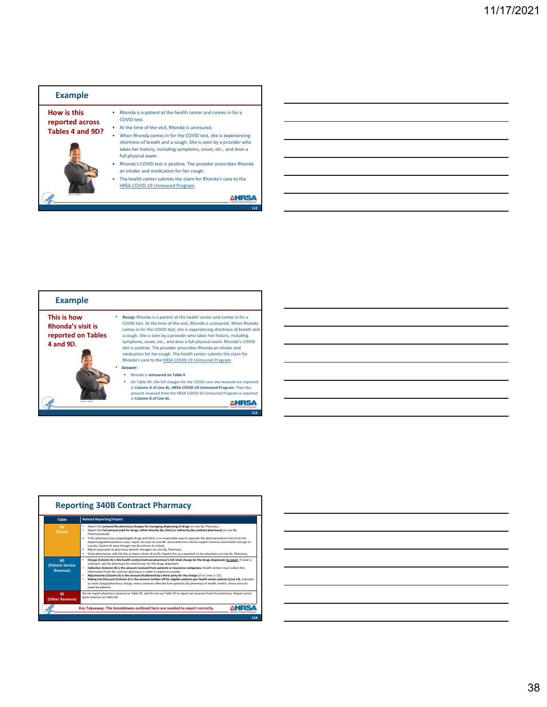| <b>Example</b>                                     |                                                                                                                                                                                                                         |
|----------------------------------------------------|-------------------------------------------------------------------------------------------------------------------------------------------------------------------------------------------------------------------------|
| How is this<br>reported across<br>Tables 4 and 9D? | Rhonda is a patient at the health center and comes in for a<br>COVID test.<br>At the time of the visit. Rhonda is uninsured.                                                                                            |
|                                                    | When Rhonda comes in for the COVID test, she is experiencing<br>shortness of breath and a cough. She is seen by a provider who<br>takes her history, including symptoms, onset, etc., and does a<br>full physical exam. |
|                                                    | Rhonda's COVID test is positive. The provider prescribes Rhonda<br>٠<br>an inhaler and medication for her cough.                                                                                                        |
|                                                    | The health center submits the claim for Rhonda's care to the<br>٠<br>HRSA COVID-19 Uninsured Program.                                                                                                                   |
| <b>Country: River</b>                              |                                                                                                                                                                                                                         |
|                                                    | 112                                                                                                                                                                                                                     |
|                                                    |                                                                                                                                                                                                                         |

| <b>Example</b>                                                             |                                                                                                                                                                                                                                                                                                                                                                                                                                                                                                                                                                          |
|----------------------------------------------------------------------------|--------------------------------------------------------------------------------------------------------------------------------------------------------------------------------------------------------------------------------------------------------------------------------------------------------------------------------------------------------------------------------------------------------------------------------------------------------------------------------------------------------------------------------------------------------------------------|
| This is how<br><b>Rhonda's visit is</b><br>reported on Tables<br>4 and 9D. | Recap: Rhonda is a patient at the health center and comes in for a<br>COVID test. At the time of the visit, Rhonda is uninsured. When Rhonda<br>comes in for the COVID test, she is experiencing shortness of breath and<br>a cough. She is seen by a provider who takes her history, including<br>symptoms, onset, etc., and does a full physical exam. Rhonda's COVID<br>test is positive. The provider prescribes Rhonda an inhaler and<br>medication for her cough. The health center submits the claim for<br>Rhonda's care to the HRSA COVID-19 Uninsured Program. |
|                                                                            | Answer:                                                                                                                                                                                                                                                                                                                                                                                                                                                                                                                                                                  |
|                                                                            | Rhonda is uninsured on Table 4.                                                                                                                                                                                                                                                                                                                                                                                                                                                                                                                                          |
| <b>Country: (Storb</b>                                                     | On Table 9D, the full charges for the COVID care she received are reported<br>in Column A of Line 8c, HRSA COVID-19 Uninsured Program. Then the<br>amount received from the HRSA COVID-19 Uninsured Program is reported<br>in Column B of Line 8c.                                                                                                                                                                                                                                                                                                                       |
|                                                                            | 113                                                                                                                                                                                                                                                                                                                                                                                                                                                                                                                                                                      |

| <b>Table</b>                                             | <b>Related Reporting/Impact</b>                                                                                                                                                                                                                                                                                                                                                                                                                                                                                                                                                                                                                                                                                                                                                                  |
|----------------------------------------------------------|--------------------------------------------------------------------------------------------------------------------------------------------------------------------------------------------------------------------------------------------------------------------------------------------------------------------------------------------------------------------------------------------------------------------------------------------------------------------------------------------------------------------------------------------------------------------------------------------------------------------------------------------------------------------------------------------------------------------------------------------------------------------------------------------------|
| <b>8A</b><br>(Costs)                                     | Report the amount the pharmacy charges for managing dispensing of drugs on Line 8a, Pharmacy.<br>٠<br>Report the full amount paid for drugs, either directly (by clinic) or indirectly (by contract pharmacy) on Line 8b,<br><b>Pharmaceuticals</b><br>If the pharmacy buys prepackaged drugs and there is no reasonable way to separate the pharmaceutical costs from the<br>٠<br>dispensing/administrative costs, report all costs on Line 8b. Associated non-clinical support services (overhead) costs go on<br>Line 8a, Column B, even though Line 8a Column A is blank.<br>Report payments to pharmacy benefit managers on Line 8a, Pharmacy,<br>Some pharmacies split the fee or keep a share of profit. Report this as a payment to the pharmacy on Line 8a. Pharmacy.<br>٠              |
| <b>9D</b><br><b>(Patient Service</b><br><b>Revenue</b> ) | Charge (Column A) is the health center/contract pharmacy's full retail charge for the drugs dispensed, by payer. If retail is<br>unknown, ask the pharmacy for retail prices for the drugs dispensed.<br>Collection (Column B) is the amount received from patients or insurance companies. Health centers must collect this<br>information from the contract pharmacy in order to report accurately.<br>Adjustments (Column D) is the amount disallowed by a third party for the charge (if on Lines 1-12).<br>Sliding Fee Discount (Column E) is the amount written off for eligible patients per health center policies (Line 13). Calculate<br>٠<br>as retail charge/pharmacy charge, minus amount collected from patients (by pharmacy or health center), minus amount<br>owed by patients. |
| <b>9E</b><br>(Other Revenue)                             | Do not report pharmacy revenue on Table 9E, and do not use Table 9E to report net revenue from the pharmacy. Report actual<br>gross revenue on Table 9D.                                                                                                                                                                                                                                                                                                                                                                                                                                                                                                                                                                                                                                         |



<u> 1989 - Johann Barn, mars eta bainar eta industrial eta bainarra (h. 1989).</u>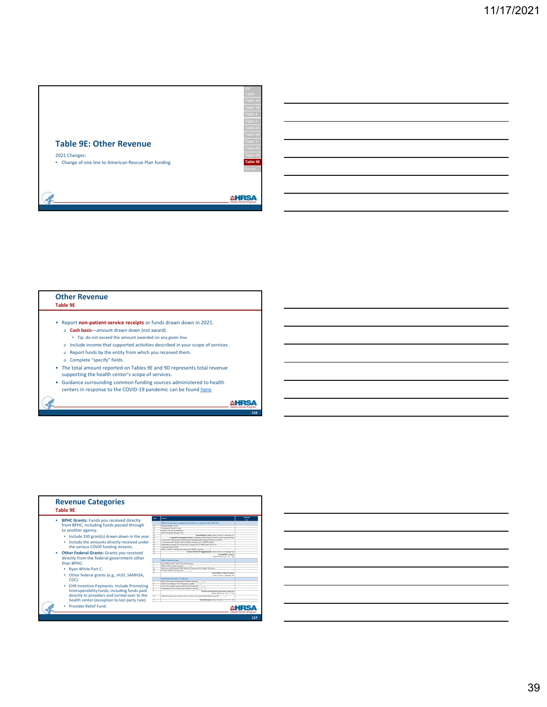

### **Other Revenue Table 9E** • Report **non‐patient‐service receipts** or funds drawn down in 2021. o **Cash basis**—amount drawn down (not award).

- Tip: do not exceed the amount awarded on any given line.
- 
- o Include income that supported activities described in your scope of services.
- o Report funds by the entity from which you received them.
- o Complete "specify" fields.

Ŀ

- The total amount reported on Tables 9E and 9D represents total revenue
- supporting the health center's scope of services.
- Guidance surrounding common funding sources administered to health
- centers in response to the COVID-19 pandemic can be found here.

**AHRSA** 



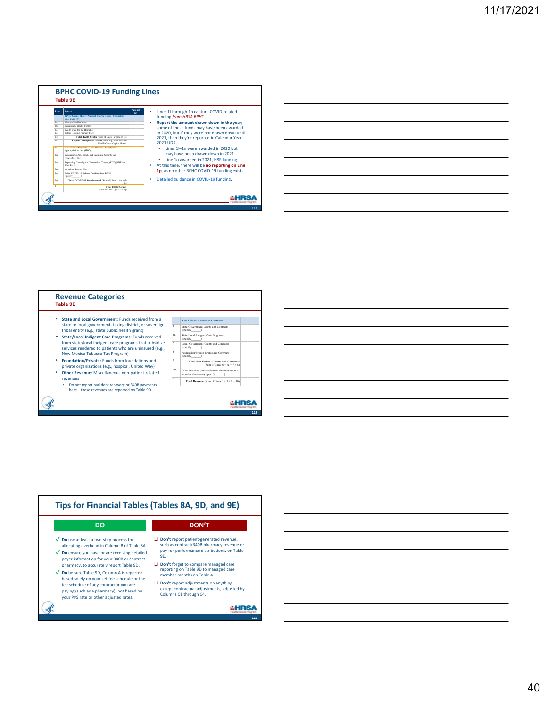



| <b>Revenue Categories</b><br><b>Table 9E</b>                                                                     |                                |                                                                                                      |  |  |  |  |
|------------------------------------------------------------------------------------------------------------------|--------------------------------|------------------------------------------------------------------------------------------------------|--|--|--|--|
| State and Local Government: Funds received from a<br>state or local government, taxing district, or sovereign    | 6                              | <b>Non-Federal Grants or Contracts</b><br>State Government Grants and Contracts                      |  |  |  |  |
| tribal entity (e.g., state public health grant)<br>State/Local Indigent Care Programs: Funds received            | 6a                             | (specify<br>State/Local Indigent Care Programs<br>(specify                                           |  |  |  |  |
| from state/local indigent care programs that subsidize<br>services rendered to patients who are uninsured (e.g., | $\overline{7}$<br>$\mathbf{x}$ | Local Government Grants and Contracts<br>(specify                                                    |  |  |  |  |
| New Mexico Tobacco Tax Program)<br><b>Foundation/Private: Funds from foundations and</b>                         | $\mathbf{Q}$                   | Foundation/Private Grants and Contracts<br>(specify<br><b>Total Non-Federal Grants and Contracts</b> |  |  |  |  |
| private organizations (e.g., hospital, United Way)                                                               | 10                             | (Sum of Lines $6 + 6a + 7 + 8$ )<br>Other Revenue (non-patient service revenue not                   |  |  |  |  |
| Other Revenue: Miscellaneous non-patient-related<br>revenues                                                     | 11                             | reported elsewhere) (specify<br><b>Total Revenue</b> (Sum of Lines $1 + 5 + 9 + 10$ )                |  |  |  |  |
| Do not report bad debt recovery or 340B payments<br>here-these revenues are reported on Table 9D.                |                                |                                                                                                      |  |  |  |  |
|                                                                                                                  |                                |                                                                                                      |  |  |  |  |

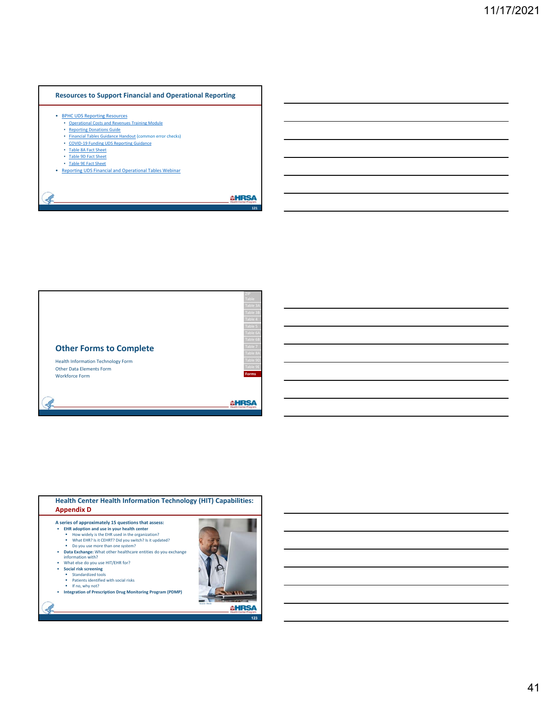### **Resources to Support Financial and Operational Reporting**

- BPHC UDS Reporting Resources
	- Operational Costs and Revenues Training Module **Reporting Donations Guide**
	- Financial Tables Guidance Handout (common error checks)
	- COVID-19 Funding UDS Reporting Guidance
	- Table 8A Fact Sheet
	- Table 9D Fact Sheet
	-
- Table 9E Fact Sheet Reporting UDS Financial and Operational Tables Webinar

**AHRSA** 



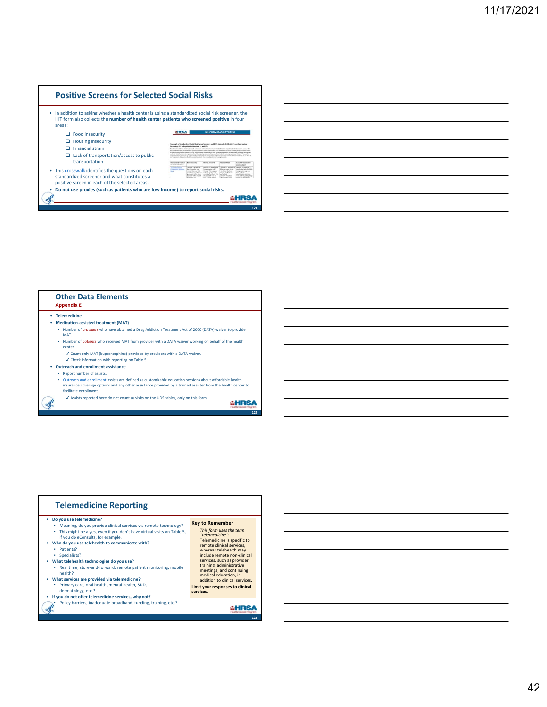### **Positive Screens for Selected Social Risks**

• In addition to asking whether a health center is using a standardized social risk screener, the HIT form also collects the **number of health center patients who screened positive** in four areas:

- ❑ Food insecurity
- ❑ Housing insecurity
- ❑ Financial strain
- ❑ Lack of transportation/access to public transportation
- **Newton Block**<br>Ray section rate • This crosswalk identifies the questions on each

**GHRSA** Crossalt of also helps hastili<br>Als foar oergans<br>Amerikaanse f

- standardized screener and what constitutes a
- positive screen in each of the selected areas. • **Do not use proxies (such as patients who are low income) to report social risks.**
- **AHRSA 124**

### **Other Data Elements Appendix E**

• **Telemedicine** 

Ŀ

- **Medication‐assisted treatment (MAT)** ▪ Number of *providers* who have obtained a Drug Addiction Treatment Act of 2000 (DATA) waiver to provide
- MAT. ▪ Number of *patients* who received MAT from provider with a DATA waiver working on behalf of the health center.
- $\checkmark$  Count only MAT (buprenorphine) provided by providers with a DATA waiver.
- $\boldsymbol{\checkmark}$  Check information with reporting on Table 5.
- **Outreach and enrollment assistance** ▪ Report number of assists.
	-
	- Outreach and enrollment assists are defined as customizable education sessions about affordable health<br>insurance coverage options and any other assistance provided by a trained assister from the health center to<br>facilita
	- ✔ Assists reported here do not count as visits on the UDS tables, only on this form.

**AHRSA** 

| This might be a yes, even if you don't have virtual visits on Table 5, | This form uses the term          |
|------------------------------------------------------------------------|----------------------------------|
| if you do eConsults, for example.                                      | "telemedicine":                  |
| Who do you use telehealth to communicate with?                         | Telemedicine is specific to      |
| Patients?                                                              | remote clinical services,        |
| ٠                                                                      | whereas telehealth may           |
| · Specialists?                                                         | include remote non-clinical      |
| What telehealth technologies do you use?                               | services, such as provider       |
| Real time, store-and-forward, remote patient monitoring, mobile        | training, administrative         |
| health?                                                                | meetings, and continuing         |
| What services are provided via telemedicine?                           | medical education, in            |
| Primary care, oral health, mental health, SUD,                         | addition to clinical services.   |
| dermatology, etc.?                                                     | Limit your responses to clinical |
| If you do not offer telemedicine services, why not?                    | services.                        |
| Policy barriers, inadequate broadband, funding, training, etc.?        |                                  |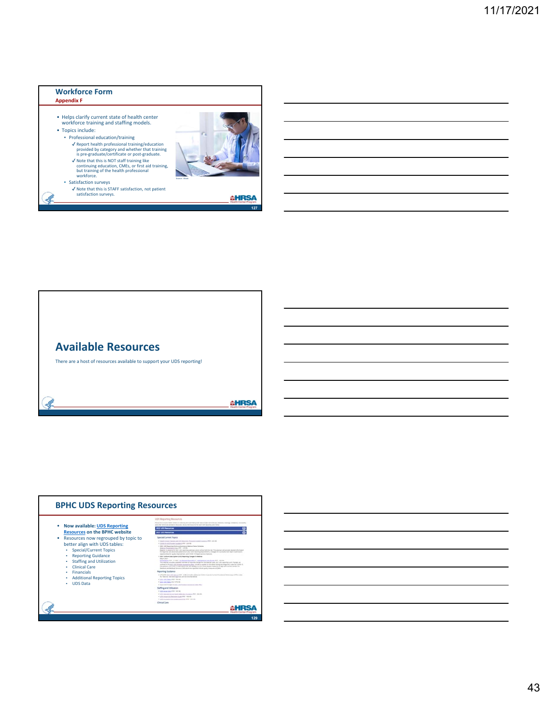



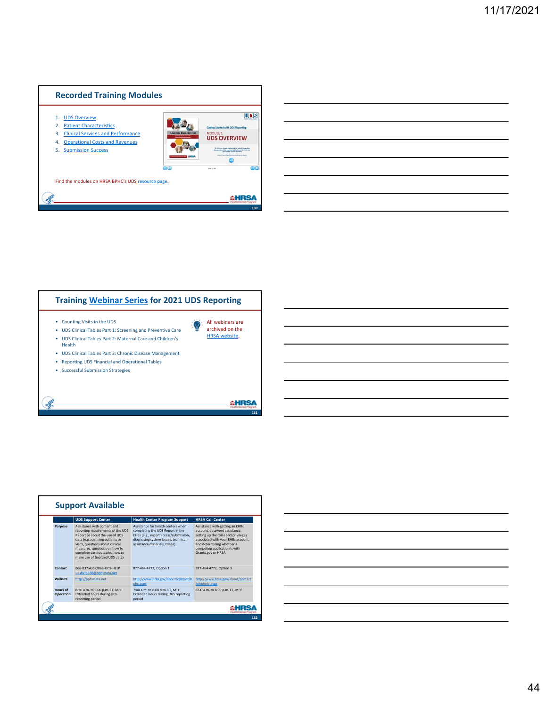



|                       | <b>UDS Support Center</b>                                                                                                                                                                                                                                                         | <b>Health Center Program Support</b>                                                                                                                                                    | <b>HRSA Call Center</b>                                                                                                                                                                                                           |
|-----------------------|-----------------------------------------------------------------------------------------------------------------------------------------------------------------------------------------------------------------------------------------------------------------------------------|-----------------------------------------------------------------------------------------------------------------------------------------------------------------------------------------|-----------------------------------------------------------------------------------------------------------------------------------------------------------------------------------------------------------------------------------|
| Purpose               | Assistance with content and<br>reporting requirements of the UDS<br>Report or about the use of UDS<br>data (e.g., defining patients or<br>visits, questions about clinical<br>measures, questions on how to<br>complete various tables, how to<br>make use of finalized UDS data) | Assistance for health centers when<br>completing the UDS Report in the<br>EHBs (e.g., report access/submission,<br>diagnosing system issues, technical<br>assistance materials, triage) | Assistance with getting an EHBs<br>account, password assistance.<br>setting up the roles and privileges<br>associated with your EHBs account.<br>and determining whether a<br>competing application is with<br>Grants.gov or HRSA |
| Contact               | 866-837-4357/866-UDS-HELP<br>udshelp330@bphcdata.net                                                                                                                                                                                                                              | 877-464-4772. Option 1                                                                                                                                                                  | 877-464-4772, Option 3                                                                                                                                                                                                            |
| Website               | http://bphcdata.net                                                                                                                                                                                                                                                               | http://www.hrsa.gov/about/contact/b<br>phc.aspx                                                                                                                                         | http://www.hrsa.gov/about/contact<br>/ehbhelp.aspx                                                                                                                                                                                |
| Hours of<br>Operation | 8:30 a.m. to 5:00 p.m. ET, M-F<br><b>Extended hours during UDS</b><br>reporting period                                                                                                                                                                                            | 7:00 a.m. to 8:00 p.m. ET, M-F<br>Extended hours during UDS reporting<br>period                                                                                                         | 8:00 a.m. to 8:00 p.m. ET. M-F                                                                                                                                                                                                    |

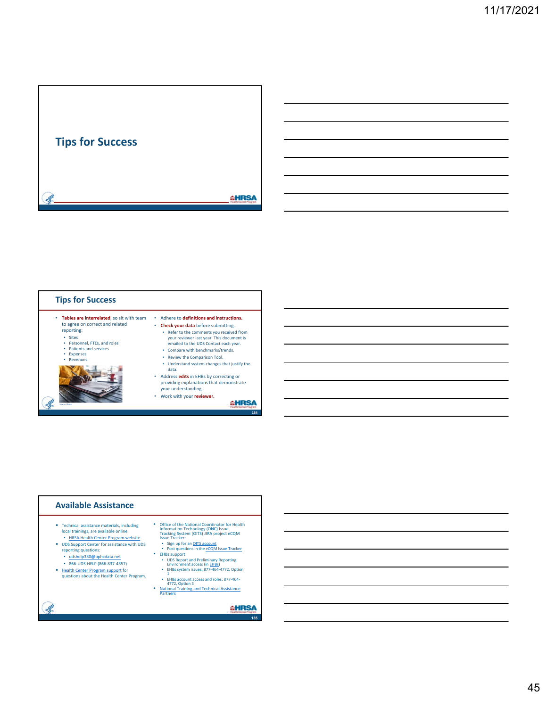